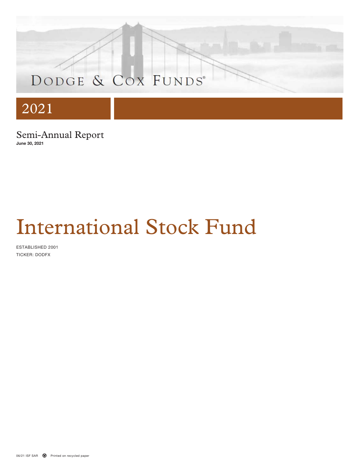# DODGE & COX FUNDS®

# 2021

Semi-Annual Report **June 30, 2021**

# International Stock Fund

ESTABLISHED 2001 TICKER: DODFX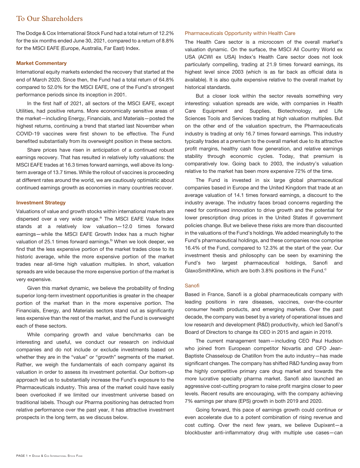## To Our Shareholders

The Dodge & Cox International Stock Fund had a total return of 12.2% for the six months ended June 30, 2021, compared to a return of 8.8% for the MSCI EAFE (Europe, Australia, Far East) Index.

#### **Market Commentary**

International equity markets extended the recovery that started at the end of March 2020. Since then, the Fund had a total return of 64.8% compared to 52.0% for the MSCI EAFE, one of the Fund's strongest performance periods since its inception in 2001.

In the first half of 2021, all sectors of the MSCI EAFE, except Utilities, had positive returns. More economically sensitive areas of the market—including Energy, Financials, and Materials—posted the highest returns, continuing a trend that started last November when COVID-19 vaccines were first shown to be effective. The Fund benefited substantially from its overweight position in these sectors.

Share prices have risen in anticipation of a continued robust earnings recovery. That has resulted in relatively lofty valuations: the MSCI EAFE trades at 16.3 times forward earnings, well above its longterm average of 13.7 times. While the rollout of vaccines is proceeding at different rates around the world, we are cautiously optimistic about continued earnings growth as economies in many countries recover.

#### **Investment Strategy**

Valuations of value and growth stocks within international markets are dispersed over a very wide range.<sup>a</sup> The MSCI EAFE Value Index stands at a relatively low valuation—12.0 times forward earnings—while the MSCI EAFE Growth Index has a much higher valuation of 25.1 times forward earnings.<sup>b</sup> When we look deeper, we find that the less expensive portion of the market trades close to its historic average, while the more expensive portion of the market trades near all-time high valuation multiples. In short, valuation spreads are wide because the more expensive portion of the market is very expensive.

Given this market dynamic, we believe the probability of finding superior long-term investment opportunities is greater in the cheaper portion of the market than in the more expensive portion. The Financials, Energy, and Materials sectors stand out as significantly less expensive than the rest of the market, and the Fund is overweight each of these sectors.

While comparing growth and value benchmarks can be interesting and useful, we conduct our research on individual companies and do not include or exclude investments based on whether they are in the "value" or "growth" segments of the market. Rather, we weigh the fundamentals of each company against its valuation in order to assess its investment potential. Our bottom-up approach led us to substantially increase the Fund's exposure to the Pharmaceuticals industry. This area of the market could have easily been overlooked if we limited our investment universe based on traditional labels. Though our Pharma positioning has detracted from relative performance over the past year, it has attractive investment prospects in the long term, as we discuss below.

#### Pharmaceuticals Opportunity within Health Care

The Health Care sector is a microcosm of the overall market's valuation dynamic. On the surface, the MSCI All Country World ex USA (ACWI ex USA) Index's Health Care sector does not look particularly compelling, trading at 21.9 times forward earnings, its highest level since 2003 (which is as far back as official data is available). It is also quite expensive relative to the overall market by historical standards.

But a closer look within the sector reveals something very interesting: valuation spreads are wide, with companies in Health Care Equipment and Supplies, Biotechnology, and Life Sciences Tools and Services trading at high valuation multiples. But on the other end of the valuation spectrum, the Pharmaceuticals industry is trading at only 16.7 times forward earnings. This industry typically trades at a premium to the overall market due to its attractive profit margins, healthy cash flow generation, and relative earnings stability through economic cycles. Today, that premium is comparatively low. Going back to 2003, the industry's valuation relative to the market has been more expensive 72% of the time.

The Fund is invested in six large global pharmaceutical companies based in Europe and the United Kingdom that trade at an average valuation of 14.1 times forward earnings, a discount to the industry average. The industry faces broad concerns regarding the need for continued innovation to drive growth and the potential for lower prescription drug prices in the United States if government policies change. But we believe these risks are more than discounted in the valuations of the Fund's holdings. We added meaningfully to the Fund's pharmaceutical holdings, and these companies now comprise 16.4% of the Fund, compared to 12.3% at the start of the year. Our investment thesis and philosophy can be seen by examining the Fund's two largest pharmaceutical holdings, Sanofi and GlaxoSmithKline, which are both 3.8% positions in the Fund.<sup>c</sup>

#### Sanofi

Based in France, Sanofi is a global pharmaceuticals company with leading positions in rare diseases, vaccines, over-the-counter consumer health products, and emerging markets. Over the past decade, the company was beset by a variety of operational issues and low research and development (R&D) productivity, which led Sanofi's Board of Directors to change its CEO in 2015 and again in 2019.

The current management team—including CEO Paul Hudson who joined from European competitor Novartis and CFO Jean-Baptiste Chasseloup de Chatillon from the auto industry—has made significant changes. The company has shifted R&D funding away from the highly competitive primary care drug market and towards the more lucrative specialty pharma market. Sanofi also launched an aggressive cost-cutting program to raise profit margins closer to peer levels. Recent results are encouraging, with the company achieving 7% earnings per share (EPS) growth in both 2019 and 2020.

Going forward, this pace of earnings growth could continue or even accelerate due to a potent combination of rising revenue and cost cutting. Over the next few years, we believe Dupixent—a blockbuster anti-inflammatory drug with multiple use cases—can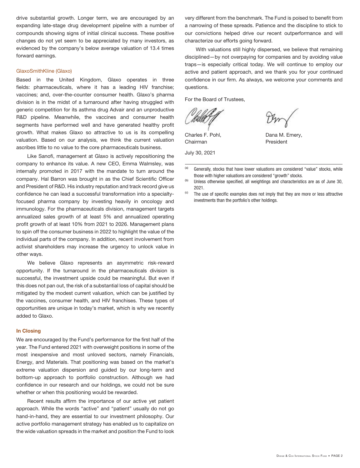drive substantial growth. Longer term, we are encouraged by an expanding late-stage drug development pipeline with a number of compounds showing signs of initial clinical success. These positive changes do not yet seem to be appreciated by many investors, as evidenced by the company's below average valuation of 13.4 times forward earnings.

#### GlaxoSmithKline (Glaxo)

Based in the United Kingdom, Glaxo operates in three fields: pharmaceuticals, where it has a leading HIV franchise; vaccines; and, over-the-counter consumer health. Glaxo's pharma division is in the midst of a turnaround after having struggled with generic competition for its asthma drug Advair and an unproductive R&D pipeline. Meanwhile, the vaccines and consumer health segments have performed well and have generated healthy profit growth. What makes Glaxo so attractive to us is its compelling valuation. Based on our analysis, we think the current valuation ascribes little to no value to the core pharmaceuticals business.

Like Sanofi, management at Glaxo is actively repositioning the company to enhance its value. A new CEO, Emma Walmsley, was internally promoted in 2017 with the mandate to turn around the company. Hal Barron was brought in as the Chief Scientific Officer and President of R&D. His industry reputation and track record give us confidence he can lead a successful transformation into a specialtyfocused pharma company by investing heavily in oncology and immunology. For the pharmaceuticals division, management targets annualized sales growth of at least 5% and annualized operating profit growth of at least 10% from 2021 to 2026. Management plans to spin off the consumer business in 2022 to highlight the value of the individual parts of the company. In addition, recent involvement from activist shareholders may increase the urgency to unlock value in other ways.

We believe Glaxo represents an asymmetric risk-reward opportunity. If the turnaround in the pharmaceuticals division is successful, the investment upside could be meaningful. But even if this does not pan out, the risk of a substantial loss of capital should be mitigated by the modest current valuation, which can be justified by the vaccines, consumer health, and HIV franchises. These types of opportunities are unique in today's market, which is why we recently added to Glaxo.

#### **In Closing**

We are encouraged by the Fund's performance for the first half of the year. The Fund entered 2021 with overweight positions in some of the most inexpensive and most unloved sectors, namely Financials, Energy, and Materials. That positioning was based on the market's extreme valuation dispersion and guided by our long-term and bottom-up approach to portfolio construction. Although we had confidence in our research and our holdings, we could not be sure whether or when this positioning would be rewarded.

Recent results affirm the importance of our active yet patient approach. While the words "active" and "patient" usually do not go hand-in-hand, they are essential to our investment philosophy. Our active portfolio management strategy has enabled us to capitalize on the wide valuation spreads in the market and position the Fund to look very different from the benchmark. The Fund is poised to benefit from a narrowing of these spreads. Patience and the discipline to stick to our convictions helped drive our recent outperformance and will characterize our efforts going forward.

With valuations still highly dispersed, we believe that remaining disciplined—by not overpaying for companies and by avoiding value traps—is especially critical today. We will continue to employ our active and patient approach, and we thank you for your continued confidence in our firm. As always, we welcome your comments and questions.

For the Board of Trustees,

Charles F. Pohl, Chairman

July 30, 2021

Dana M. Emery, President

(a) Generally, stocks that have lower valuations are considered "value" stocks, while those with higher valuations are considered "growth" stocks.

(b) Unless otherwise specified, all weightings and characteristics are as of June 30, 2021.

(c) The use of specific examples does not imply that they are more or less attractive investments than the portfolio's other holdings.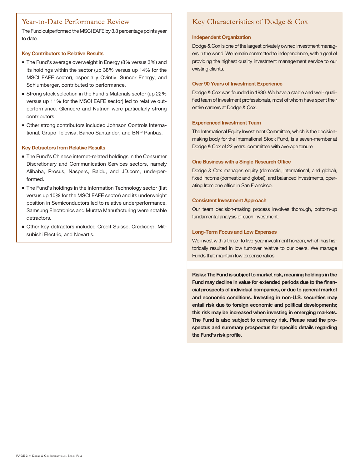## Year-to-Date Performance Review

The Fund outperformed the MSCI EAFE by 3.3 percentage points year to date.

#### **Key Contributors to Relative Results**

- The Fund's average overweight in Energy (8% versus 3%) and its holdings within the sector (up 38% versus up 14% for the MSCI EAFE sector), especially Ovintiv, Suncor Energy, and Schlumberger, contributed to performance.
- Strong stock selection in the Fund's Materials sector (up 22% versus up 11% for the MSCI EAFE sector) led to relative outperformance. Glencore and Nutrien were particularly strong contributors.
- **Diner strong contributors included Johnson Controls Interna**tional, Grupo Televisa, Banco Santander, and BNP Paribas.

#### **Key Detractors from Relative Results**

- The Fund's Chinese internet-related holdings in the Consumer Discretionary and Communication Services sectors, namely Alibaba, Prosus, Naspers, Baidu, and JD.com, underperformed.
- **The Fund's holdings in the Information Technology sector (flat** versus up 10% for the MSCI EAFE sector) and its underweight position in Semiconductors led to relative underperformance. Samsung Electronics and Murata Manufacturing were notable detractors.
- **Deally 1.5 Theorge Credit Suisse, Credicorp, Mit**subishi Electric, and Novartis.

## Key Characteristics of Dodge & Cox

#### **Independent Organization**

Dodge & Cox is one of the largest privately owned investment managers in the world.We remain committed to independence, with a goal of providing the highest quality investment management service to our existing clients.

#### **Over 90 Years of Investment Experience**

Dodge & Cox was founded in 1930. We have a stable and well- qualified team of investment professionals, most of whom have spent their entire careers at Dodge & Cox.

#### **Experienced Investment Team**

The International Equity Investment Committee, which is the decisionmaking body for the International Stock Fund, is a seven-member at Dodge & Cox of 22 years. committee with average tenure

#### **One Business with a Single Research Office**

Dodge & Cox manages equity (domestic, international, and global), fixed income (domestic and global), and balanced investments, operating from one office in San Francisco.

#### **Consistent Investment Approach**

Our team decision-making process involves thorough, bottom-up fundamental analysis of each investment.

#### **Long-Term Focus and Low Expenses**

We invest with a three- to five-year investment horizon, which has historically resulted in low turnover relative to our peers. We manage Funds that maintain low expense ratios.

**Risks: The Fund is subject tomarket risk,meaning holdings in the Fund may decline in value for extended periods due to the financial prospects of individual companies, or due to general market and economic conditions. Investing in non-U.S. securities may entail risk due to foreign economic and political developments; this risk may be increased when investing in emerging markets. The Fund is also subject to currency risk. Please read the prospectus and summary prospectus for specific details regarding the Fund's risk profile.**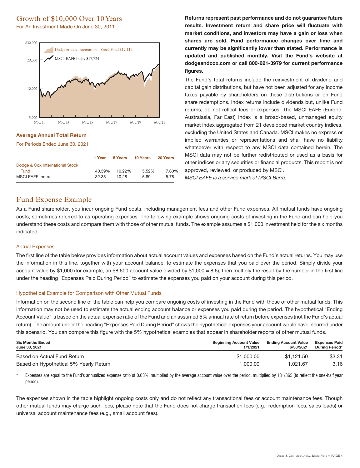### Growth of \$10,000 Over 10Years

For An Investment Made On June 30, 2011



#### **Average Annual Total Return**

For Periods Ended June 30, 2021

|                                 | 1 Year | 5 Years | <b>10 Years</b> | 20 Years |
|---------------------------------|--------|---------|-----------------|----------|
| Dodge & Cox International Stock |        |         |                 |          |
| Fund                            | 40.39% | 10.22%  | 5.52%           | 7.60%    |
| <b>MSCI EAFE Index</b>          | 32.35  | 10.28   | 5.89            | 5.78     |

**Returns represent past performance and do not guarantee future results. Investment return and share price will fluctuate with market conditions, and investors may have a gain or loss when shares are sold. Fund performance changes over time and currently may be significantly lower than stated. Performance is updated and published monthly. Visit the Fund's website at dodgeandcox.com or call 800-621-3979 for current performance figures.**

The Fund's total returns include the reinvestment of dividend and capital gain distributions, but have not been adjusted for any income taxes payable by shareholders on these distributions or on Fund share redemptions. Index returns include dividends but, unlike Fund returns, do not reflect fees or expenses. The MSCI EAFE (Europe, Australasia, Far East) Index is a broad-based, unmanaged equity market index aggregated from 21 developed market country indices, excluding the United States and Canada. MSCI makes no express or implied warranties or representations and shall have no liability whatsoever with respect to any MSCI data contained herein. The MSCI data may not be further redistributed or used as a basis for other indices or any securities or financial products. This report is not approved, reviewed, or produced by MSCI.

MSCI EAFE is a service mark of MSCI Barra.

## Fund Expense Example

As a Fund shareholder, you incur ongoing Fund costs, including management fees and other Fund expenses. All mutual funds have ongoing costs, sometimes referred to as operating expenses. The following example shows ongoing costs of investing in the Fund and can help you understand these costs and compare them with those of other mutual funds. The example assumes a \$1,000 investment held for the six months indicated.

#### Actual Expenses

The first line of the table below provides information about actual account values and expenses based on the Fund's actual returns. You may use the information in this line, together with your account balance, to estimate the expenses that you paid over the period. Simply divide your account value by \$1,000 (for example, an \$8,600 account value divided by \$1,000 = 8.6), then multiply the result by the number in the first line under the heading "Expenses Paid During Period" to estimate the expenses you paid on your account during this period.

#### Hypothetical Example for Comparison with Other Mutual Funds

Information on the second line of the table can help you compare ongoing costs of investing in the Fund with those of other mutual funds. This information may not be used to estimate the actual ending account balance or expenses you paid during the period. The hypothetical "Ending Account Value" is based on the actual expense ratio of the Fund and an assumed 5% annual rate of return before expenses (not the Fund's actual return). The amount under the heading "Expenses Paid During Period" shows the hypothetical expenses your account would have incurred under this scenario. You can compare this figure with the 5% hypothetical examples that appear in shareholder reports of other mutual funds.

| <b>Six Months Ended</b><br>June 30, 2021 | <b>Beginning Account Value</b><br>1/1/2021 | <b>Ending Account Value</b><br>6/30/2021 | <b>Expenses Paid</b><br><b>During Period*</b> |
|------------------------------------------|--------------------------------------------|------------------------------------------|-----------------------------------------------|
| Based on Actual Fund Return              | \$1,000,00                                 | \$1.121.50                               | \$3.31                                        |
| Based on Hypothetical 5% Yearly Return   | 1.000.00                                   | 1.021.67                                 | 3.16                                          |

Expenses are equal to the Fund's annualized expense ratio of 0.63%, multiplied by the average account value over the period, multiplied by 181/365 (to reflect the one-half year period).

The expenses shown in the table highlight ongoing costs only and do not reflect any transactional fees or account maintenance fees. Though other mutual funds may charge such fees, please note that the Fund does not charge transaction fees (e.g., redemption fees, sales loads) or universal account maintenance fees (e.g., small account fees).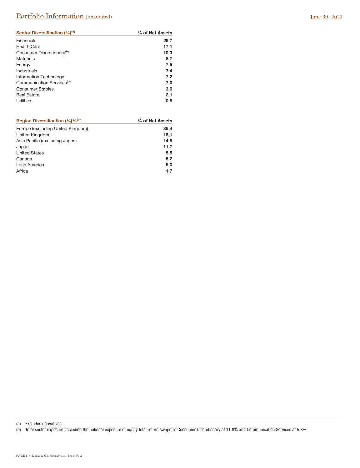## Portfolio Information (unaudited) June 30, 2021

| Sector Diversification (%) <sup>(a)</sup> | % of Net Assets |
|-------------------------------------------|-----------------|
| Financials                                | 26.7            |
| <b>Health Care</b>                        | 17.1            |
| Consumer Discretionary <sup>(b)</sup>     | 10.3            |
| Materials                                 | 8.7             |
| Energy                                    | 7.5             |
| Industrials                               | 7.4             |
| Information Technology                    | 7.2             |
| Communication Services <sup>(b)</sup>     | 7.0             |
| <b>Consumer Staples</b>                   | 3.6             |
| <b>Real Estate</b>                        | 2.1             |
| Utilities                                 | 0.5             |

| Region Diversification (%)% <sup>(a)</sup> | % of Net Assets |
|--------------------------------------------|-----------------|
| Europe (excluding United Kingdom)          | 36.4            |
| United Kingdom                             | 18.1            |
| Asia Pacific (excluding Japan)             | 14.5            |
| Japan                                      | 11.7            |
| <b>United States</b>                       | 5.5             |
| Canada                                     | 5.2             |
| Latin America                              | 5.0             |
| Africa                                     | 1.7             |

(a) Excludes derivatives.

(b) Total sector exposure, including the notional exposure of equity total return swaps, is Consumer Discretionary at 11.8% and Communication Services at 5.3%.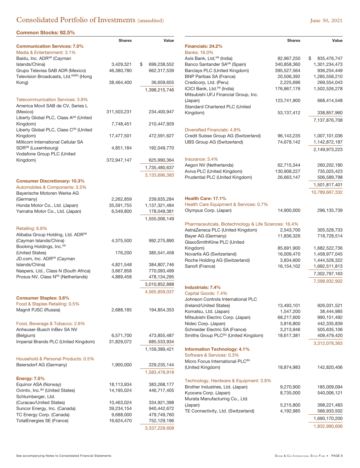|                                                              | <b>Shares</b> | Value             |
|--------------------------------------------------------------|---------------|-------------------|
| <b>Communication Services: 7.0%</b>                          |               |                   |
| Media & Entertainment: 3.1%                                  |               |                   |
| Baidu, Inc. ADR <sup>(a)</sup> (Cayman                       |               |                   |
| Islands/China)                                               | 3,429,321     | \$<br>699,238,552 |
| Grupo Televisa SAB ADR (Mexico)                              | 46,380,780    | 662,317,539       |
| Television Broadcasts, Ltd. <sup>(a)(b)</sup> (Hong          |               |                   |
| Kong)                                                        | 38,464,400    | 36,659,655        |
|                                                              |               | 1,398,215,746     |
| <b>Telecommunication Services: 3.9%</b>                      |               |                   |
| America Movil SAB de CV, Series L                            |               |                   |
| (Mexico)                                                     | 311,503,231   | 234,400,947       |
| Liberty Global PLC, Class A <sup>(a)</sup> (United           |               |                   |
| Kingdom)                                                     | 7,748,451     | 210,447,929       |
| Liberty Global PLC, Class C <sup>(a)</sup> (United           |               |                   |
| Kingdom)                                                     | 17,477,501    | 472,591,627       |
| Millicom International Cellular SA                           |               |                   |
| SDR <sup>(a)</sup> (Luxembourg)                              | 4,851,184     | 192,049,770       |
| Vodafone Group PLC (United                                   |               |                   |
| Kingdom)                                                     | 372,947,147   | 625,990,364       |
|                                                              |               |                   |
|                                                              |               | 1,735,480,637     |
|                                                              |               | 3,133,696,383     |
| <b>Consumer Discretionary: 10.3%</b>                         |               |                   |
| Automobiles & Components: 3.5%                               |               |                   |
| Bayerische Motoren Werke AG                                  |               |                   |
| (Germany)                                                    | 2,262,859     | 239,635,284       |
| Honda Motor Co., Ltd. (Japan)                                | 35,591,755    | 1,137,321,484     |
| Yamaha Motor Co., Ltd. (Japan)                               | 6,549,800     | 178,049,381       |
|                                                              |               | 1,555,006,149     |
| Retailing: 6.8%                                              |               |                   |
| Alibaba Group Holding, Ltd. ADR <sup>(a)</sup>               |               |                   |
| (Cayman Islands/China)                                       | 4,375,500     | 992,275,890       |
| Booking Holdings, Inc. <sup>(a)</sup>                        |               |                   |
| (United States)                                              | 176,200       | 385,541,458       |
| JD.com, Inc. ADR <sup>(a)</sup> (Cayman                      |               |                   |
| Islands/China)                                               | 4,821,548     | 384,807,746       |
| Naspers, Ltd., Class N (South Africa)                        | 3,667,858     | 770,093,499       |
| Prosus NV, Class N(a) (Netherlands)                          | 4,889,458     | 478,134,295       |
|                                                              |               | 3,010,852,888     |
|                                                              |               | 4,565,859,037     |
| <b>Consumer Staples: 3.6%</b>                                |               |                   |
| Food & Staples Retailing: 0.5%                               |               |                   |
| Magnit PJSC (Russia)                                         | 2,688,185     | 194,854,353       |
|                                                              |               |                   |
|                                                              |               |                   |
| Food, Beverage & Tobacco: 2.6%<br>Anheuser-Busch InBev SA NV |               |                   |
| (Belgium)                                                    | 6,571,700     | 473,855,487       |
| Imperial Brands PLC (United Kingdom)                         | 31,829,072    | 685,533,934       |
|                                                              |               |                   |
|                                                              |               | 1,159,389,421     |
| Household & Personal Products: 0.5%                          |               |                   |
| Beiersdorf AG (Germany)                                      | 1,900,000     | 229,235,144       |
|                                                              |               | 1,583,478,918     |
| <b>Energy: 7.5%</b>                                          |               |                   |
| Equinor ASA (Norway)                                         | 18,113,934    | 383,268,177       |
| Ovintiv, Inc. <sup>(b)</sup> (United States)                 | 14,195,024    | 446,717,405       |
| Schlumberger, Ltd.                                           |               |                   |
| (Curacao/United States)                                      | 10,463,024    | 334,921,398       |
| Suncor Energy, Inc. (Canada)                                 | 39,234,154    | 940,442,672       |
| TC Energy Corp. (Canada)                                     | 9,688,000     | 479,749,760       |
| <b>TotalEnergies SE (France)</b>                             | 16,624,470    | 752,129,196       |
|                                                              |               | 3,337,228,608     |
|                                                              |               |                   |

|                                                                            | <b>Shares</b>              | Value                        |
|----------------------------------------------------------------------------|----------------------------|------------------------------|
| Financials: 24.2%                                                          |                            |                              |
| Banks: 16.0%                                                               |                            |                              |
| Axis Bank, Ltd. <sup>(a)</sup> (India)                                     | 82,967,250                 | \$<br>835,476,747            |
| Banco Santander SA <sup>(a)</sup> (Spain)<br>Barclays PLC (United Kingdom) | 340,858,360<br>395,527,564 | 1,301,234,473<br>936,254,449 |
| <b>BNP Paribas SA (France)</b>                                             | 20,506,392                 | 1,285,558,210                |
| Credicorp, Ltd. (Peru)                                                     | 2,225,696                  | 269,554,043                  |
| ICICI Bank, Ltd. <sup>(a)</sup> (India)                                    | 176,867,176                | 1,502,526,278                |
| Mitsubishi UFJ Financial Group, Inc.                                       |                            |                              |
| (Japan)                                                                    | 123,741,900                | 668,414,548                  |
| Standard Chartered PLC (United                                             |                            |                              |
| Kingdom)                                                                   | 53,137,412                 | 338,857,960                  |
|                                                                            |                            | 7,137,876,708                |
|                                                                            |                            |                              |
| Diversified Financials: 4.8%                                               |                            |                              |
| Credit Suisse Group AG (Switzerland)                                       | 96,143,235                 | 1,007,101,036                |
| <b>UBS Group AG (Switzerland)</b>                                          | 74,678,142                 | 1,142,872,187                |
|                                                                            |                            | 2,149,973,223                |
| Insurance: 3.4%                                                            |                            |                              |
| Aegon NV (Netherlands)                                                     | 62,715,344                 | 260,202,180                  |
| Aviva PLC (United Kingdom)                                                 | 130,908,227                | 735,025,423                  |
| Prudential PLC (United Kingdom)                                            | 26,663,147                 | 506,589,798                  |
|                                                                            |                            | 1,501,817,401                |
|                                                                            |                            | 10,789,667,332               |
| Health Care: 17.1%                                                         |                            |                              |
| Health Care Equipment & Services: 0.7%                                     |                            |                              |
| Olympus Corp. (Japan)                                                      | 14,900,000                 | 296,135,739                  |
|                                                                            |                            |                              |
| Pharmaceuticals, Biotechnology & Life Sciences: 16.4%                      |                            |                              |
| AstraZeneca PLC (United Kingdom)                                           | 2,543,700                  | 305,528,733                  |
| Bayer AG (Germany)                                                         | 11,836,326                 | 718,728,514                  |
| GlaxoSmithKline PLC (United                                                |                            |                              |
| Kingdom)                                                                   | 85,691,900                 | 1,682,522,736                |
| Novartis AG (Switzerland)                                                  | 16,009,470                 | 1,458,977,045                |
| Roche Holding AG (Switzerland)                                             | 3,834,600                  | 1,444,528,322                |
| Sanofi (France)                                                            | 16,154,102                 | 1,692,511,813                |
|                                                                            |                            | 7,302,797,163                |
|                                                                            |                            | 7,598,932,902                |
| Industrials: 7.4%                                                          |                            |                              |
| Capital Goods: 7.4%                                                        |                            |                              |
| Johnson Controls International PLC                                         |                            |                              |
| (Ireland/United States)                                                    | 13,493,101                 | 926,031,521                  |
| Komatsu, Ltd. (Japan)                                                      | 1,547,200                  | 38,444,985                   |
| Mitsubishi Electric Corp. (Japan)                                          | 68,217,600                 | 990,151,492                  |
| Nidec Corp. (Japan)                                                        | 3,816,800                  | 442,335,839                  |
| Schneider Electric SA (France)                                             | 3,213,946                  | 505,635,106                  |
| Smiths Group PLC <sup>(b)</sup> (United Kingdom)                           | 18,617,381                 | 409,479,420                  |
|                                                                            |                            | 3,312,078,363                |
| <b>Information Technology: 4.1%</b>                                        |                            |                              |
| Software & Services: 0.3%                                                  |                            |                              |
| Micro Focus International PLC <sup>(b)</sup>                               |                            |                              |
| (United Kingdom)                                                           | 18,874,983                 | 142,820,406                  |
|                                                                            |                            |                              |
| Technology, Hardware & Equipment: 3.8%                                     |                            |                              |
| Brother Industries, Ltd. (Japan)                                           | 9,270,900                  | 185,009,094                  |
| Kyocera Corp. (Japan)                                                      | 8,735,000                  | 540,006,121                  |
| Murata Manufacturing Co., Ltd.                                             |                            |                              |
| (Japan)                                                                    | 5,215,800                  | 398,221,483                  |
| TE Connectivity, Ltd. (Switzerland)                                        | 4,192,985                  | 566,933,502                  |
|                                                                            |                            | 1,690,170,200                |
|                                                                            |                            | 1,832,990,606                |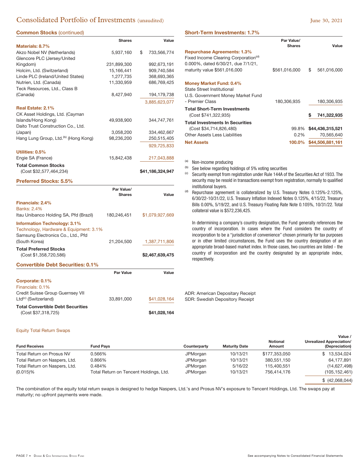#### **Common Stocks** (continued)

|                                                                 | <b>Shares</b>               | Value             |
|-----------------------------------------------------------------|-----------------------------|-------------------|
| Materials: 8.7%<br>Akzo Nobel NV (Netherlands)                  | 5,937,160                   | \$<br>733,566,774 |
| Glencore PLC (Jersey/United                                     |                             |                   |
| Kingdom)                                                        | 231,899,300                 | 992,673,191       |
| Holcim, Ltd. (Switzerland)                                      | 15,166,441                  | 909,740,584       |
| Linde PLC (Ireland/United States)                               | 1,277,735                   | 368,693,365       |
| Nutrien, Ltd. (Canada)                                          | 11,330,959                  | 686,769,425       |
| Teck Resources, Ltd., Class B                                   |                             |                   |
| (Canada)                                                        | 8,427,940                   | 194,179,738       |
|                                                                 |                             | 3,885,623,077     |
| Real Estate: 2.1%                                               |                             |                   |
| CK Asset Holdings, Ltd. (Cayman                                 |                             |                   |
| Islands/Hong Kong)                                              | 49,938,900                  | 344,747,761       |
| Daito Trust Construction Co., Ltd.                              |                             |                   |
| (Japan)                                                         | 3,058,200                   | 334,462,667       |
| Hang Lung Group, Ltd. <sup>(b)</sup> (Hong Kong)                | 98,236,200                  | 250,515,405       |
|                                                                 |                             | 929,725,833       |
| Utilities: 0.5%                                                 |                             |                   |
| Engie SA (France)                                               | 15,842,438                  | 217,043,888       |
| <b>Total Common Stocks</b>                                      |                             |                   |
| (Cost \$32,577,464,234)                                         |                             | \$41,186,324,947  |
| <b>Preferred Stocks: 5.5%</b>                                   |                             |                   |
|                                                                 | Par Value/<br><b>Shares</b> | Value             |
|                                                                 |                             |                   |
| Financials: 2.4%                                                |                             |                   |
| <b>Banks: 2.4%</b>                                              |                             |                   |
| Itau Unibanco Holding SA, Pfd (Brazil)                          | 180,246,451                 | \$1,079,927,669   |
| <b>Information Technology: 3.1%</b>                             |                             |                   |
| Technology, Hardware & Equipment: 3.1%                          |                             |                   |
| Samsung Electronics Co., Ltd., Pfd.                             |                             |                   |
| (South Korea)                                                   | 21,204,500                  | 1,387,711,806     |
| <b>Total Preferred Stocks</b>                                   |                             |                   |
| (Cost \$1,358,720,586)                                          |                             | \$2,467,639,475   |
| <b>Convertible Debt Securities: 0.1%</b>                        |                             |                   |
|                                                                 | Par Value                   | Value             |
| Corporate: 0.1%                                                 |                             |                   |
| Financials: 0.1%                                                |                             |                   |
| Credit Suisse Group Guernsey VII                                |                             |                   |
| Ltd <sup>(c)</sup> (Switzerland)                                |                             |                   |
|                                                                 | 33,891,000                  | \$41,028,164      |
|                                                                 |                             |                   |
| <b>Total Convertible Debt Securities</b><br>(Cost \$37,318,725) |                             | \$41,028,164      |

## **Short-Term Investments: 1.7%**

|                                                                                                                                                              | Par Value/<br><b>Shares</b> |    | Value                          |
|--------------------------------------------------------------------------------------------------------------------------------------------------------------|-----------------------------|----|--------------------------------|
| <b>Repurchase Agreements: 1.3%</b><br>Fixed Income Clearing Corporation <sup>(d)</sup><br>0.000%, dated 6/30/21, due 7/1/21,<br>maturity value \$561,016,000 | \$561,016,000               | \$ | 561,016,000                    |
| <b>Money Market Fund: 0.4%</b><br>State Street Institutional<br>U.S. Government Money Market Fund<br>- Premier Class                                         | 180,306,935                 |    | 180,306,935                    |
| <b>Total Short-Term Investments</b><br>(Cost \$741,322,935)                                                                                                  |                             | S  | 741.322.935                    |
| <b>Total Investments In Securities</b><br>(Cost \$34,714,826,480)<br>Other Assets Less Liabilities                                                           | 99.8%<br>$0.2\%$            |    | \$44,436,315,521<br>70.565.640 |
| <b>Net Assets</b>                                                                                                                                            | 100.0%                      |    | \$44,506,881,161               |

(a) Non-income producing

(b) See below regarding holdings of 5% voting securities

(c) Security exempt from registration under Rule 144A of the Securities Act of 1933. The security may be resold in transactions exempt from registration, normally to qualified institutional buyers.

(d) Repurchase agreement is collateralized by U.S. Treasury Notes 0.125%-2.125%, 6/30/22-10/31/22, U.S. Treasury Inflation Indexed Notes 0.125%, 4/15/22, Treasury Bills 0.00%, 5/19/22, and U.S. Treasury Floating Rate Note 0.105%, 10/31/22. Total collateral value is \$572,236,425.

In determining a company's country designation, the Fund generally references the country of incorporation. In cases where the Fund considers the country of incorporation to be a "jurisdiction of convenience" chosen primarily for tax purposes or in other limited circumstances, the Fund uses the country designation of an appropriate broad-based market index. In those cases, two countries are listed - the country of incorporation and the country designated by an appropriate index, respectively.

ADR: American Depositary Receipt SDR: Swedish Depository Receipt

## Equity Total Return Swaps

| <b>Fund Receives</b>          | <b>Fund Pavs</b>                       | Counterparty | <b>Maturity Date</b> | <b>Notional</b><br>Amount | Unrealized Appreciation/<br>(Depreciation) |
|-------------------------------|----------------------------------------|--------------|----------------------|---------------------------|--------------------------------------------|
| Total Return on Prosus NV     | 0.566%                                 | JPMorgan     | 10/13/21             | \$177,353,050             | \$13,534,024                               |
| Total Return on Naspers, Ltd. | 0.866%                                 | JPMorgan     | 10/13/21             | 380,551,150               | 64.177.891                                 |
| Total Return on Naspers, Ltd. | 0.484%                                 | JPMorgan     | 5/16/22              | 115.400.551               | (14, 627, 498)                             |
| $(0.015)\%$                   | Total Return on Tencent Holdings, Ltd. | JPMorgan     | 10/13/21             | 756.414.176               | (105, 152, 461)                            |
|                               |                                        |              |                      |                           | \$ (42,068,044)                            |

The combination of the equity total return swaps is designed to hedge Naspers, Ltd.'s and Prosus NV's exposure to Tencent Holdings, Ltd. The swaps pay at maturity; no upfront payments were made.

**Value /**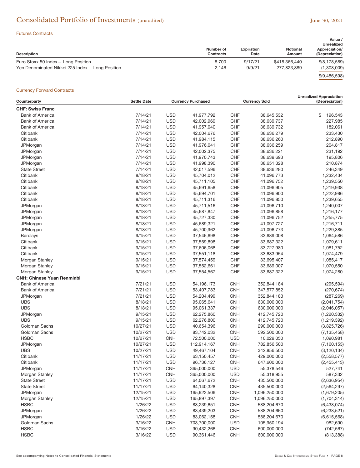Futures Contracts

| <b>Description</b>                              | Number of<br><b>Contracts</b> | <b>Expiration</b><br>Date | <b>Notional</b><br>Amount | Value /<br><b>Unrealized</b><br>Appreciation/<br>(Depreciation) |
|-------------------------------------------------|-------------------------------|---------------------------|---------------------------|-----------------------------------------------------------------|
| Euro Stoxx 50 Index- Long Position              | 8.700                         | 9/17/21                   | \$418,366,440             | \$ (8, 178, 589)                                                |
| Yen Denominated Nikkei 225 Index- Long Position | 2.146                         | 9/9/21                    | 277.823.889               | (1,308,009)                                                     |
|                                                 |                               |                           |                           | \$(9,486,598)                                                   |

#### Currency Forward Contracts

| Counterparty                      | <b>Settle Date</b> |                          | <b>Currency Purchased</b> |            | <b>Currency Sold</b>       | <b>Unrealized Appreciation</b><br>(Depreciation) |
|-----------------------------------|--------------------|--------------------------|---------------------------|------------|----------------------------|--------------------------------------------------|
| <b>CHF: Swiss Franc</b>           |                    |                          |                           |            |                            |                                                  |
| <b>Bank of America</b>            | 7/14/21            | <b>USD</b>               | 41,977,792                | <b>CHF</b> | 38,645,532                 | \$<br>196,543                                    |
| <b>Bank of America</b>            | 7/14/21            | <b>USD</b>               | 42,002,969                | <b>CHF</b> | 38,639,737                 | 227,985                                          |
| <b>Bank of America</b>            | 7/14/21            | <b>USD</b>               | 41,957,040                | <b>CHF</b> | 38,639,732                 | 182,061                                          |
| Citibank                          | 7/14/21            | <b>USD</b>               | 42,004,676                | <b>CHF</b> | 38,636,279                 | 233,430                                          |
| Citibank                          | 7/14/21            | <b>USD</b>               | 41,984,115                | <b>CHF</b> | 38,636,260                 | 212,890                                          |
| JPMorgan                          | 7/14/21            | <b>USD</b>               | 41,976,041                | <b>CHF</b> | 38,636,259                 | 204,817                                          |
| JPMorgan                          | 7/14/21            | <b>USD</b>               | 42,002,375                | <b>CHF</b> | 38,636,221                 | 231,192                                          |
| JPMorgan                          | 7/14/21            | <b>USD</b>               | 41,970,743                | <b>CHF</b> | 38,639,693                 | 195,806                                          |
| JPMorgan                          | 7/14/21            | <b>USD</b>               | 41,998,390                | <b>CHF</b> | 38,651,328                 | 210,874                                          |
| <b>State Street</b>               | 7/14/21            | <b>USD</b>               | 42,017,596                | <b>CHF</b> | 38,636,280                 | 246,349                                          |
| Citibank                          | 8/18/21            | <b>USD</b>               | 45,704,012                | <b>CHF</b> | 41,096,773                 | 1,232,434                                        |
| Citibank                          | 8/18/21            | <b>USD</b>               | 45,711,105                | <b>CHF</b> | 41,096,752                 | 1,239,550                                        |
| Citibank                          | 8/18/21            | <b>USD</b>               | 45,691,658                | <b>CHF</b> | 41,096,905                 | 1,219,938                                        |
| Citibank                          | 8/18/21            | <b>USD</b>               | 45,694,701                | <b>CHF</b> | 41,096,900                 | 1,222,986                                        |
| Citibank                          | 8/18/21            | <b>USD</b>               | 45,711,316                | <b>CHF</b> | 41,096,850                 | 1,239,655                                        |
| JPMorgan                          | 8/18/21            | <b>USD</b>               | 45,711,516                | <b>CHF</b> | 41,096,710                 | 1,240,007                                        |
| JPMorgan                          | 8/18/21            | <b>USD</b>               | 45,687,847                | <b>CHF</b> | 41,096,858                 | 1,216,177                                        |
| JPMorgan                          | 8/18/21            | <b>USD</b>               | 45,727,330                | <b>CHF</b> | 41,096,752                 | 1,255,775                                        |
| JPMorgan                          | 8/18/21            | <b>USD</b>               | 45,689,321                | <b>CHF</b> | 41,097,727                 | 1,216,711                                        |
| JPMorgan                          | 8/18/21            | <b>USD</b>               | 45,700,962                | <b>CHF</b> | 41,096,773                 | 1,229,385                                        |
| <b>Barclays</b>                   | 9/15/21            | <b>USD</b>               | 37,546,698                | <b>CHF</b> | 33,689,008                 | 1,064,586                                        |
| Citibank                          | 9/15/21            | <b>USD</b>               | 37,559,898                | <b>CHF</b> | 33,687,322                 | 1,079,611                                        |
| Citibank                          | 9/15/21            | <b>USD</b>               | 37,606,068                | <b>CHF</b> | 33,727,980                 | 1,081,752                                        |
| Citibank                          | 9/15/21            | <b>USD</b>               | 37,551,118                | <b>CHF</b> | 33,683,954                 | 1,074,479                                        |
| Morgan Stanley                    | 9/15/21            | <b>USD</b>               | 37,574,459                | <b>CHF</b> | 33,695,407                 | 1,085,417                                        |
| Morgan Stanley                    | 9/15/21            | <b>USD</b>               | 37,552,661                | <b>CHF</b> | 33,689,007                 | 1,070,550                                        |
| Morgan Stanley                    | 9/15/21            | <b>USD</b>               | 37,554,567                | <b>CHF</b> | 33,687,322                 | 1,074,280                                        |
| <b>CNH: Chinese Yuan Renminbi</b> |                    |                          |                           |            |                            |                                                  |
| <b>Bank of America</b>            | 7/21/21            | <b>USD</b>               | 54,196,173                | <b>CNH</b> | 352,844,184                | (295, 594)                                       |
| <b>Bank of America</b>            | 7/21/21            | <b>USD</b>               | 53,407,783                | <b>CNH</b> | 347,577,852                | (270, 674)                                       |
| JPMorgan                          | 7/21/21            | <b>USD</b>               | 54,204,499                | <b>CNH</b> | 352,844,183                | (287, 269)                                       |
| <b>UBS</b>                        | 8/18/21            | <b>USD</b>               | 95,065,641                | <b>CNH</b> | 630,000,000                | (2,041,754)                                      |
| <b>UBS</b>                        | 8/18/21            | <b>USD</b>               | 95,061,337                | <b>CNH</b> | 630,000,000                | (2,046,057)                                      |
| JPMorgan                          | 9/15/21            | <b>USD</b>               | 62,275,860                | <b>CNH</b> | 412,745,720                | (1,220,332)                                      |
| <b>UBS</b>                        | 9/15/21            | <b>USD</b>               | 62,276,800                | <b>CNH</b> | 412,745,720                | (1, 219, 392)                                    |
| Goldman Sachs                     | 10/27/21           | <b>USD</b>               | 40,654,396                | <b>CNH</b> | 290,000,000                | (3,825,726)                                      |
| Goldman Sachs                     | 10/27/21           | <b>USD</b>               | 83,742,032                | <b>CNH</b> | 592,500,000                | (7, 135, 458)                                    |
| <b>HSBC</b>                       | 10/27/21           | <b>CNH</b>               | 72,500,000                | <b>USD</b> | 10,029,050                 | 1,090,981                                        |
| JPMorgan                          | 10/27/21           | <b>USD</b>               | 112,914,167               | <b>CNH</b> | 782,856,500                | (7, 160, 153)                                    |
| <b>UBS</b>                        | 10/27/21           | <b>USD</b>               | 49,467,104                | <b>CNH</b> | 342,856,500                | (3, 120, 134)                                    |
| Citibank                          | 11/17/21           | <b>USD</b>               | 63,150,457                | <b>CNH</b> | 429,000,000                | (2,558,577)                                      |
| Citibank                          | 11/17/21           | <b>USD</b>               | 96,736,127                | <b>CNH</b> | 647,600,000                | (2,455,413)                                      |
| JPMorgan                          | 11/17/21           | <b>CNH</b>               | 365,000,000               | <b>USD</b> | 55,378,546                 | 527,741                                          |
| Morgan Stanley                    | 11/17/21           | <b>CNH</b>               | 365,000,000               | <b>USD</b> | 55,318,955                 | 587,332                                          |
| <b>State Street</b>               | 11/17/21           | <b>USD</b>               | 64,067,672                | <b>CNH</b> | 435,500,000                | (2,636,954)                                      |
| <b>State Street</b>               | 11/17/21           | <b>USD</b>               | 64,140,328                | <b>CNH</b> | 435,500,000                | (2,564,297)                                      |
| JPMorgan                          | 12/15/21           | <b>USD</b>               | 165,922,506               | <b>CNH</b> | 1,096,250,000              | (1,679,205)                                      |
| Morgan Stanley                    | 12/15/21           | <b>USD</b>               | 165,897,397               | <b>CNH</b> | 1,096,250,000              | (1,704,314)                                      |
| <b>HSBC</b>                       | 1/26/22            | <b>USD</b>               | 83,239,651                | <b>CNH</b> | 588,204,670                | (6,438,074)                                      |
| JPMorgan                          | 1/26/22            | <b>USD</b>               | 83,439,203                | <b>CNH</b> | 588,204,660                | (6, 238, 521)                                    |
| JPMorgan                          | 1/26/22            | <b>USD</b>               | 83,062,158                | <b>CNH</b> | 588,204,670                | (6,615,568)                                      |
| Goldman Sachs<br><b>HSBC</b>      | 3/16/22<br>3/16/22 | <b>CNH</b>               | 703,700,000               | <b>USD</b> | 105,950,194                | 982,690                                          |
| <b>HSBC</b>                       |                    | <b>USD</b><br><b>USD</b> | 90,432,266                | <b>CNH</b> | 600,000,000<br>600,000,000 | (742, 567)                                       |
|                                   | 3/16/22            |                          | 90,361,446                | <b>CNH</b> |                            | (813, 388)                                       |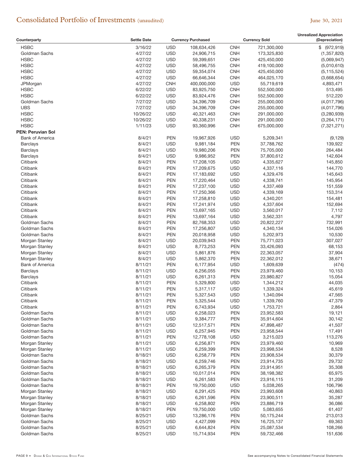| <b>Unrealized Appreciatio</b> |
|-------------------------------|

| Counterparty             | <b>Settle Date</b> |            | <b>Currency Purchased</b> |            | <b>Currency Sold</b> | <b>Unrealized Appreciation</b><br>(Depreciation) |
|--------------------------|--------------------|------------|---------------------------|------------|----------------------|--------------------------------------------------|
| <b>HSBC</b>              | 3/16/22            | <b>USD</b> | 108,634,426               | <b>CNH</b> | 721,300,000          | \$ (972, 919)                                    |
| Goldman Sachs            | 4/27/22            | <b>USD</b> | 24,906,715                | <b>CNH</b> | 173,325,830          | (1, 357, 820)                                    |
| <b>HSBC</b>              | 4/27/22            | <b>USD</b> | 59,399,651                | <b>CNH</b> | 425,450,000          | (5,069,947)                                      |
| <b>HSBC</b>              | 4/27/22            | <b>USD</b> | 58,496,755                | <b>CNH</b> | 419,100,000          | (5,010,610)                                      |
| <b>HSBC</b>              | 4/27/22            | <b>USD</b> | 59,354,074                | <b>CNH</b> | 425,450,000          | (5, 115, 524)                                    |
| <b>HSBC</b>              | 4/27/22            | <b>USD</b> | 66,646,344                | <b>CNH</b> | 464,025,170          | (3,668,654)                                      |
| JPMorgan                 | 4/27/22            | <b>CNH</b> | 400,000,000               | <b>USD</b> | 55,719,619           | 4,893,471                                        |
|                          |                    |            |                           |            |                      |                                                  |
| <b>HSBC</b>              | 6/22/22            | <b>USD</b> | 83,925,750                | <b>CNH</b> | 552,500,000          | 513,495                                          |
| <b>HSBC</b>              | 6/22/22            | <b>USD</b> | 83,924,476                | <b>CNH</b> | 552,500,000          | 512,220                                          |
| Goldman Sachs            | 7/27/22            | <b>USD</b> | 34,396,709                | <b>CNH</b> | 255,000,000          | (4,017,796)                                      |
| <b>UBS</b>               | 7/27/22            | <b>USD</b> | 34,396,709                | <b>CNH</b> | 255,000,000          | (4,017,796)                                      |
| <b>HSBC</b>              | 10/26/22           | <b>USD</b> | 40,321,463                | <b>CNH</b> | 291,000,000          | (3,280,939)                                      |
| <b>HSBC</b>              | 10/26/22           | <b>USD</b> | 40,338,231                | <b>CNH</b> | 291,000,000          | (3,264,171)                                      |
| <b>HSBC</b>              | 1/11/23            | <b>USD</b> | 93,360,996                | <b>CNH</b> | 675,000,000          | (7, 321, 271)                                    |
| <b>PEN: Peruvian Sol</b> |                    |            |                           |            |                      |                                                  |
| <b>Bank of America</b>   | 8/4/21             | <b>PEN</b> | 19,967,926                | <b>USD</b> | 5,209,341            | (9, 129)                                         |
| <b>Barclays</b>          | 8/4/21             | <b>USD</b> | 9,981,184                 | <b>PEN</b> | 37,788,762           | 139,922                                          |
| <b>Barclays</b>          | 8/4/21             | <b>USD</b> | 19,980,206                | <b>PEN</b> | 75,705,000           | 264,484                                          |
| <b>Barclays</b>          | 8/4/21             | <b>USD</b> | 9,986,952                 | <b>PEN</b> | 37,800,612           | 142,604                                          |
| Citibank                 | 8/4/21             | <b>PEN</b> | 17,208,105                | <b>USD</b> | 4,335,627            | 145,850                                          |
| Citibank                 | 8/4/21             | <b>PEN</b> | 17,209,675                | <b>USD</b> | 4,337,116            | 144,770                                          |
| Citibank                 | 8/4/21             | <b>PEN</b> | 17,183,692                | <b>USD</b> | 4,329,476            | 145,643                                          |
| Citibank                 | 8/4/21             | <b>PEN</b> | 17,220,464                | <b>USD</b> | 4,338,741            | 145,954                                          |
| Citibank                 | 8/4/21             | <b>PEN</b> |                           | <b>USD</b> |                      |                                                  |
|                          | 8/4/21             | <b>PEN</b> | 17,237,100                | <b>USD</b> | 4,337,469            | 151,559                                          |
| Citibank                 |                    |            | 17,250,366                |            | 4,339,169            | 153,314                                          |
| Citibank                 | 8/4/21             | <b>PEN</b> | 17,258,810                | <b>USD</b> | 4,340,201            | 154,481                                          |
| Citibank                 | 8/4/21             | <b>PEN</b> | 17,241,974                | <b>USD</b> | 4,337,604            | 152,694                                          |
| Citibank                 | 8/4/21             | <b>PEN</b> | 13,697,165                | <b>USD</b> | 3,560,017            | 7,112                                            |
| Citibank                 | 8/4/21             | <b>PEN</b> | 13,697,164                | <b>USD</b> | 3,562,331            | 4,797                                            |
| Goldman Sachs            | 8/4/21             | <b>PEN</b> | 82,768,353                | <b>USD</b> | 20,822,227           | 732,991                                          |
| Goldman Sachs            | 8/4/21             | <b>PEN</b> | 17,256,807                | <b>USD</b> | 4,340,134            | 154,026                                          |
| Goldman Sachs            | 8/4/21             | <b>PEN</b> | 20,018,958                | <b>USD</b> | 5,202,973            | 10,530                                           |
| Morgan Stanley           | 8/4/21             | <b>USD</b> | 20,039,943                | <b>PEN</b> | 75,771,023           | 307,027                                          |
| Morgan Stanley           | 8/4/21             | <b>USD</b> | 8,773,253                 | <b>PEN</b> | 33,426,093           | 68,153                                           |
| Morgan Stanley           | 8/4/21             | <b>USD</b> | 5,861,876                 | <b>PEN</b> | 22,363,057           | 37,904                                           |
| Morgan Stanley           | 8/4/21             | <b>USD</b> | 5,862,370                 | <b>PEN</b> | 22,362,012           | 38,671                                           |
| <b>Bank of America</b>   | 8/11/21            | <b>PEN</b> | 6,177,954                 | <b>USD</b> | 1,609,639            | (474)                                            |
| <b>Barclays</b>          | 8/11/21            | <b>USD</b> | 6,256,055                 | <b>PEN</b> | 23,979,460           | 10,153                                           |
| <b>Barclays</b>          | 8/11/21            | <b>USD</b> | 6,261,313                 | <b>PEN</b> | 23,980,827           | 15,054                                           |
| Citibank                 | 8/11/21            | <b>PEN</b> | 5,329,800                 | <b>USD</b> | 1,344,212            | 44,035                                           |
| Citibank                 | 8/11/21            | <b>PEN</b> | 5,317,117                 | <b>USD</b> | 1,339,324            | 45,619                                           |
| Citibank                 | 8/11/21            | <b>PEN</b> | 5,327,543                 | <b>USD</b> | 1,340,094            | 47,565                                           |
| Citibank                 | 8/11/21            | <b>PEN</b> | 5,325,544                 | <b>USD</b> | 1,339,760            | 47,379                                           |
| Citibank                 | 8/11/21            | <b>PEN</b> | 6,743,934                 | <b>USD</b> | 1,753,721            | 2,864                                            |
|                          |                    |            |                           |            |                      |                                                  |
| Goldman Sachs            | 8/11/21            | <b>USD</b> | 6,258,023                 | <b>PEN</b> | 23,952,583           | 19,121                                           |
| Goldman Sachs            | 8/11/21            | <b>USD</b> | 9,384,777                 | <b>PEN</b> | 35,914,604           | 30,142                                           |
| Goldman Sachs            | 8/11/21            | <b>USD</b> | 12,517,571                | <b>PEN</b> | 47,898,487           | 41,507                                           |
| Goldman Sachs            | 8/11/21            | <b>USD</b> | 6,257,945                 | <b>PEN</b> | 23,958,544           | 17,491                                           |
| Goldman Sachs            | 8/11/21            | <b>PEN</b> | 12,778,108                | <b>USD</b> | 3,215,023            | 113,276                                          |
| Morgan Stanley           | 8/11/21            | <b>USD</b> | 6,256,871                 | <b>PEN</b> | 23,979,460           | 10,969                                           |
| Morgan Stanley           | 8/11/21            | <b>USD</b> | 6,259,399                 | <b>PEN</b> | 23,998,534           | 8,528                                            |
| Goldman Sachs            | 8/18/21            | <b>USD</b> | 6,258,779                 | <b>PEN</b> | 23,908,534           | 30,379                                           |
| Goldman Sachs            | 8/18/21            | <b>USD</b> | 6,259,746                 | <b>PEN</b> | 23,914,735           | 29,732                                           |
| Goldman Sachs            | 8/18/21            | <b>USD</b> | 6,265,379                 | <b>PEN</b> | 23,914,951           | 35,308                                           |
| Goldman Sachs            | 8/18/21            | <b>USD</b> | 10,017,014                | <b>PEN</b> | 38,198,382           | 65,975                                           |
| Goldman Sachs            | 8/18/21            | <b>USD</b> | 6,261,583                 | <b>PEN</b> | 23,916,115           | 31,209                                           |
| Goldman Sachs            | 8/18/21            | <b>PEN</b> | 19,750,000                | <b>USD</b> | 5,038,265            | 106,796                                          |
| Morgan Stanley           | 8/18/21            | <b>USD</b> | 6,291,425                 | <b>PEN</b> | 23,993,608           | 40,863                                           |
| Morgan Stanley           | 8/18/21            | <b>USD</b> | 6,261,596                 | <b>PEN</b> | 23,900,511           | 35,287                                           |
| Morgan Stanley           | 8/18/21            | <b>USD</b> | 6,258,802                 | <b>PEN</b> | 23,886,719           | 36,086                                           |
| Morgan Stanley           | 8/18/21            | <b>PEN</b> | 19,750,000                | <b>USD</b> | 5,083,655            | 61,407                                           |
| Goldman Sachs            | 8/25/21            | <b>USD</b> |                           | <b>PEN</b> | 50,175,244           | 213,013                                          |
|                          |                    |            | 13,286,176                |            |                      |                                                  |
| Goldman Sachs            | 8/25/21            | <b>USD</b> | 4,427,099                 | <b>PEN</b> | 16,725,137           | 69,363                                           |
| Goldman Sachs            | 8/25/21            | <b>USD</b> | 6,644,824                 | <b>PEN</b> | 25,087,534           | 108,266                                          |
| Goldman Sachs            | 8/25/21            | <b>USD</b> | 15,714,934                | <b>PEN</b> | 59,732,466           | 151,636                                          |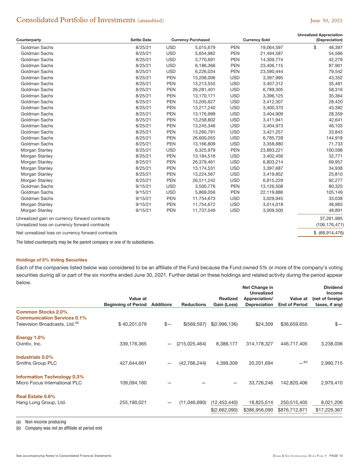|  | <b>Jnrealized Appreciation</b> |
|--|--------------------------------|
|--|--------------------------------|

| Counterparty                                      | <b>Settle Date</b> |            | <b>Currency Purchased</b> |            | <b>Currency Sold</b> | <b>Unrealized Appreciation</b><br>(Depreciation) |
|---------------------------------------------------|--------------------|------------|---------------------------|------------|----------------------|--------------------------------------------------|
| Goldman Sachs                                     | 8/25/21            | <b>USD</b> | 5,015,679                 | <b>PEN</b> | 19,064,597           | \$<br>48,397                                     |
| Goldman Sachs                                     | 8/25/21            | <b>USD</b> | 5,654,982                 | <b>PEN</b> | 21,494,587           | 54,566                                           |
| Goldman Sachs                                     | 8/25/21            | <b>USD</b> | 3,770,691                 | <b>PEN</b> | 14,309,774           | 42,279                                           |
| Goldman Sachs                                     | 8/25/21            | <b>USD</b> | 6,186,366                 | <b>PEN</b> | 23,406,115           | 87,901                                           |
| Goldman Sachs                                     | 8/25/21            | <b>USD</b> | 6,226,034                 | <b>PEN</b> | 23,590,444           | 79,542                                           |
| Goldman Sachs                                     | 8/25/21            | <b>PEN</b> | 13,208,006                | <b>USD</b> | 3,397,995            | 43,352                                           |
| Goldman Sachs                                     | 8/25/21            | <b>PEN</b> | 13,213,555                | <b>USD</b> | 3,407,312            | 35,481                                           |
| Goldman Sachs                                     | 8/25/21            | <b>PEN</b> | 26,281,401                | <b>USD</b> | 6,789,305            | 58,316                                           |
| <b>Goldman Sachs</b>                              | 8/25/21            | <b>PEN</b> | 13,170,171                | <b>USD</b> | 3,396,125            | 35,364                                           |
| Goldman Sachs                                     | 8/25/21            | <b>PEN</b> | 13,205,627                | <b>USD</b> | 3,412,307            | 28,420                                           |
| Goldman Sachs                                     | 8/25/21            | <b>PEN</b> | 13,217,240                | <b>USD</b> | 3,400,370            | 43,382                                           |
| Goldman Sachs                                     | 8/25/21            | <b>PEN</b> | 13,176,999                | <b>USD</b> | 3,404,909            | 28,359                                           |
| Goldman Sachs                                     | 8/25/21            | <b>PEN</b> | 13,258,802                | <b>USD</b> | 3,411,941            | 42,641                                           |
| Goldman Sachs                                     | 8/25/21            | <b>PEN</b> | 13,245,346                | <b>USD</b> | 3,404,973            | 46,103                                           |
| Goldman Sachs                                     | 8/25/21            | <b>PEN</b> | 13,260,791                | <b>USD</b> | 3,421,257            | 33,843                                           |
| Goldman Sachs                                     | 8/25/21            | <b>PEN</b> | 26,600,055                | <b>USD</b> | 6,785,728            | 144,918                                          |
| Goldman Sachs                                     | 8/25/21            | <b>PEN</b> | 13,166,809                | <b>USD</b> | 3,358,880            | 71,733                                           |
| Morgan Stanley                                    | 8/25/21            | <b>USD</b> | 6,325,979                 | <b>PEN</b> | 23,893,221           | 100,598                                          |
| Morgan Stanley                                    | 8/25/21            | <b>PEN</b> | 13,184,516                | <b>USD</b> | 3,402,456            | 32,771                                           |
| Morgan Stanley                                    | 8/25/21            | <b>PEN</b> | 26,379,461                | <b>USD</b> | 6,803,214            | 69,957                                           |
| Morgan Stanley                                    | 8/25/21            | <b>PEN</b> | 13,174,531                | <b>USD</b> | 3,397,687            | 34,938                                           |
| Morgan Stanley                                    | 8/25/21            | <b>PEN</b> | 13,224,567                | <b>USD</b> | 3,419,852            | 25,810                                           |
| Morgan Stanley                                    | 8/25/21            | <b>PEN</b> | 26,511,242                | <b>USD</b> | 6,815,229            | 92,277                                           |
| Goldman Sachs                                     | 9/15/21            | <b>USD</b> | 3,500,776                 | <b>PEN</b> | 13,126,508           | 80,325                                           |
| Goldman Sachs                                     | 9/15/21            | <b>USD</b> | 5,869,056                 | <b>PEN</b> | 22,119,886           | 105,149                                          |
| Goldman Sachs                                     | 9/15/21            | <b>PEN</b> | 11,754,673                | <b>USD</b> | 3,029,945            | 33,038                                           |
| Morgan Stanley                                    | 9/15/21            | <b>PEN</b> | 11,754,672                | <b>USD</b> | 3,014,018            | 48,965                                           |
| Morgan Stanley                                    | 9/15/21            | <b>PEN</b> | 11,737,049                | <b>USD</b> | 3,009,500            | 48,891                                           |
| Unrealized gain on currency forward contracts     |                    |            |                           |            |                      | 37,261,995                                       |
| Unrealized loss on currency forward contracts     |                    |            |                           |            |                      | (106, 176, 471)                                  |
| Net unrealized loss on currency forward contracts |                    |            |                           |            |                      | \$ (68,914,476)                                  |
|                                                   |                    |            |                           |            |                      |                                                  |

The listed counterparty may be the parent company or one of its subsidiaries.

#### **Holdings of 5% Voting Securities**

Each of the companies listed below was considered to be an affiliate of the Fund because the Fund owned 5% or more of the company's voting securities during all or part of the six months ended June 30, 2021. Further detail on these holdings and related activity during the period appear below.

|                                                                     | Value at                   |                  |                   | <b>Realized</b>                 | Net Change in<br><b>Unrealized</b><br>Appreciation/ | Value at                     | <b>Dividend</b><br>Income<br>(net of foreign |
|---------------------------------------------------------------------|----------------------------|------------------|-------------------|---------------------------------|-----------------------------------------------------|------------------------------|----------------------------------------------|
|                                                                     | <b>Beginning of Period</b> | <b>Additions</b> | <b>Reductions</b> | Gain (Loss)                     | <b>Depreciation</b>                                 | <b>End of Period</b>         | taxes, if any)                               |
| <b>Common Stocks 2.0%</b><br><b>Communication Services 0.1%</b>     |                            |                  |                   |                                 |                                                     |                              |                                              |
| Television Broadcasts, Ltd. <sup>(a)</sup>                          | \$40,201,079               | $s-$             | \$(569,597)       | \$(2,996,136)                   | \$24,309                                            | \$36,659,655                 | $s-$                                         |
| Energy 1.0%                                                         |                            |                  |                   |                                 |                                                     |                              |                                              |
| Ovintiv, Inc.                                                       | 339,176,365                |                  | (215, 025, 464)   | 8,388,177                       | 314,178,327                                         | 446,717,405                  | 3,238,036                                    |
| Industrials 0.0%<br>Smiths Group PLC                                | 427,644,661                |                  | (42,766,244)      | 4,399,309                       | 20,201,694                                          | $-$ <sup>(b)</sup>           | 2,990,715                                    |
| <b>Information Technology 0.3%</b><br>Micro Focus International PLC | 109,094,160                |                  |                   |                                 | 33,726,246                                          | 142,820,406                  | 2,979,410                                    |
| Real Estate 0.6%<br>Hang Lung Group, Ltd.                           | 255,190,021                |                  | (11,046,690)      | (12, 453, 440)<br>\$(2,662,090) | 18,825,514<br>\$386,956,090                         | 250,515,405<br>\$876,712,871 | 8,021,206<br>\$17,229,367                    |

(a) Non-income producing

(b) Company was not an affiliate at period end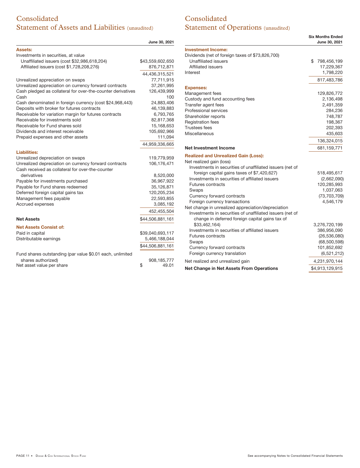## Consolidated Statement of Assets and Liabilities (unaudited)

|                                                             | June 30, 2021    |
|-------------------------------------------------------------|------------------|
| <b>Assets:</b>                                              |                  |
| Investments in securities, at value                         |                  |
| Unaffiliated issuers (cost \$32,986,618,204)                | \$43,559,602,650 |
| Affiliated issuers (cost \$1,728,208,276)                   | 876,712,871      |
|                                                             | 44,436,315,521   |
| Unrealized appreciation on swaps                            | 77,711,915       |
| Unrealized appreciation on currency forward contracts       | 37,261,995       |
| Cash pledged as collateral for over-the-counter derivatives | 126,439,999      |
| Cash                                                        | 100              |
| Cash denominated in foreign currency (cost \$24,968,443)    | 24,883,406       |
| Deposits with broker for futures contracts                  | 46,139,883       |
| Receivable for variation margin for futures contracts       | 6,793,765        |
| Receivable for investments sold                             | 82,817,368       |
| Receivable for Fund shares sold                             | 15,168,653       |
| Dividends and interest receivable                           | 105,692,966      |
| Prepaid expenses and other assets                           | 111,094          |
|                                                             | 44,959,336,665   |
| <b>Liabilities:</b>                                         |                  |
| Unrealized depreciation on swaps                            | 119,779,959      |
| Unrealized depreciation on currency forward contracts       | 106,176,471      |
| Cash received as collateral for over-the-counter            |                  |
| derivatives                                                 | 8,520,000        |
| Payable for investments purchased                           | 36,967,922       |
| Payable for Fund shares redeemed                            | 35,126,871       |
| Deferred foreign capital gains tax                          | 120,205,234      |
| Management fees payable                                     | 22,593,855       |
| Accrued expenses                                            | 3,085,192        |
|                                                             | 452,455,504      |
| <b>Net Assets</b>                                           | \$44,506,881,161 |
| <b>Net Assets Consist of:</b>                               |                  |
| Paid in capital                                             | \$39,040,693,117 |
| Distributable earnings                                      | 5,466,188,044    |
|                                                             | \$44,506,881,161 |
| Fund shares outstanding (par value \$0.01 each, unlimited   |                  |
| shares authorized)                                          | 908,185,777      |
| Net asset value per share                                   | \$<br>49.01      |

## Consolidated Statement of Operations (unaudited)

| <b>Investment Income:</b><br>Dividends (net of foreign taxes of \$73,826,700)<br>Unaffiliated issuers<br>\$<br>798,456,199<br>Affiliated issuers<br>17,229,367<br>Interest<br>1,798,220<br>817,483,786<br><b>Expenses:</b><br>Management fees<br>129,826,772<br>Custody and fund accounting fees<br>2,136,498<br>Transfer agent fees<br>2,491,359<br>Professional services<br>284,236<br>Shareholder reports<br>748,787<br><b>Registration fees</b><br>198,367<br><b>Trustees fees</b><br>202,393<br>Miscellaneous<br>435,603<br>136,324,015<br>Net Investment Income<br>681,159,771<br><b>Realized and Unrealized Gain (Loss):</b><br>Net realized gain (loss)<br>Investments in securities of unaffiliated issuers (net of<br>foreign capital gains taxes of \$7,420,627)<br>518,495,617<br>Investments in securities of affiliated issuers<br>(2,662,090)<br><b>Futures contracts</b><br>120,285,993<br>1,037,063<br>Swaps<br>(73, 703, 709)<br>Currency forward contracts<br>Foreign currency transactions<br>4,546,179<br>Net change in unrealized appreciation/depreciation<br>Investments in securities of unaffiliated issuers (net of<br>change in deferred foreign capital gains tax of<br>\$33,462,164)<br>3,276,720,199<br>Investments in securities of affiliated issuers<br>386,956,090<br><b>Futures contracts</b><br>(26, 536, 080)<br>(68, 500, 598)<br>Swaps<br>Currency forward contracts<br>101,852,692<br>Foreign currency translation<br>(6,521,212)<br>Net realized and unrealized gain<br>4,231,970,144 |  | <b>Six Months Ended</b><br>June 30, 2021 |
|---------------------------------------------------------------------------------------------------------------------------------------------------------------------------------------------------------------------------------------------------------------------------------------------------------------------------------------------------------------------------------------------------------------------------------------------------------------------------------------------------------------------------------------------------------------------------------------------------------------------------------------------------------------------------------------------------------------------------------------------------------------------------------------------------------------------------------------------------------------------------------------------------------------------------------------------------------------------------------------------------------------------------------------------------------------------------------------------------------------------------------------------------------------------------------------------------------------------------------------------------------------------------------------------------------------------------------------------------------------------------------------------------------------------------------------------------------------------------------------------------------------------------------|--|------------------------------------------|
|                                                                                                                                                                                                                                                                                                                                                                                                                                                                                                                                                                                                                                                                                                                                                                                                                                                                                                                                                                                                                                                                                                                                                                                                                                                                                                                                                                                                                                                                                                                                 |  |                                          |
|                                                                                                                                                                                                                                                                                                                                                                                                                                                                                                                                                                                                                                                                                                                                                                                                                                                                                                                                                                                                                                                                                                                                                                                                                                                                                                                                                                                                                                                                                                                                 |  |                                          |
|                                                                                                                                                                                                                                                                                                                                                                                                                                                                                                                                                                                                                                                                                                                                                                                                                                                                                                                                                                                                                                                                                                                                                                                                                                                                                                                                                                                                                                                                                                                                 |  |                                          |
|                                                                                                                                                                                                                                                                                                                                                                                                                                                                                                                                                                                                                                                                                                                                                                                                                                                                                                                                                                                                                                                                                                                                                                                                                                                                                                                                                                                                                                                                                                                                 |  |                                          |
|                                                                                                                                                                                                                                                                                                                                                                                                                                                                                                                                                                                                                                                                                                                                                                                                                                                                                                                                                                                                                                                                                                                                                                                                                                                                                                                                                                                                                                                                                                                                 |  |                                          |
|                                                                                                                                                                                                                                                                                                                                                                                                                                                                                                                                                                                                                                                                                                                                                                                                                                                                                                                                                                                                                                                                                                                                                                                                                                                                                                                                                                                                                                                                                                                                 |  |                                          |
|                                                                                                                                                                                                                                                                                                                                                                                                                                                                                                                                                                                                                                                                                                                                                                                                                                                                                                                                                                                                                                                                                                                                                                                                                                                                                                                                                                                                                                                                                                                                 |  |                                          |
|                                                                                                                                                                                                                                                                                                                                                                                                                                                                                                                                                                                                                                                                                                                                                                                                                                                                                                                                                                                                                                                                                                                                                                                                                                                                                                                                                                                                                                                                                                                                 |  |                                          |
|                                                                                                                                                                                                                                                                                                                                                                                                                                                                                                                                                                                                                                                                                                                                                                                                                                                                                                                                                                                                                                                                                                                                                                                                                                                                                                                                                                                                                                                                                                                                 |  |                                          |
|                                                                                                                                                                                                                                                                                                                                                                                                                                                                                                                                                                                                                                                                                                                                                                                                                                                                                                                                                                                                                                                                                                                                                                                                                                                                                                                                                                                                                                                                                                                                 |  |                                          |
|                                                                                                                                                                                                                                                                                                                                                                                                                                                                                                                                                                                                                                                                                                                                                                                                                                                                                                                                                                                                                                                                                                                                                                                                                                                                                                                                                                                                                                                                                                                                 |  |                                          |
|                                                                                                                                                                                                                                                                                                                                                                                                                                                                                                                                                                                                                                                                                                                                                                                                                                                                                                                                                                                                                                                                                                                                                                                                                                                                                                                                                                                                                                                                                                                                 |  |                                          |
|                                                                                                                                                                                                                                                                                                                                                                                                                                                                                                                                                                                                                                                                                                                                                                                                                                                                                                                                                                                                                                                                                                                                                                                                                                                                                                                                                                                                                                                                                                                                 |  |                                          |
|                                                                                                                                                                                                                                                                                                                                                                                                                                                                                                                                                                                                                                                                                                                                                                                                                                                                                                                                                                                                                                                                                                                                                                                                                                                                                                                                                                                                                                                                                                                                 |  |                                          |
|                                                                                                                                                                                                                                                                                                                                                                                                                                                                                                                                                                                                                                                                                                                                                                                                                                                                                                                                                                                                                                                                                                                                                                                                                                                                                                                                                                                                                                                                                                                                 |  |                                          |
|                                                                                                                                                                                                                                                                                                                                                                                                                                                                                                                                                                                                                                                                                                                                                                                                                                                                                                                                                                                                                                                                                                                                                                                                                                                                                                                                                                                                                                                                                                                                 |  |                                          |
|                                                                                                                                                                                                                                                                                                                                                                                                                                                                                                                                                                                                                                                                                                                                                                                                                                                                                                                                                                                                                                                                                                                                                                                                                                                                                                                                                                                                                                                                                                                                 |  |                                          |
|                                                                                                                                                                                                                                                                                                                                                                                                                                                                                                                                                                                                                                                                                                                                                                                                                                                                                                                                                                                                                                                                                                                                                                                                                                                                                                                                                                                                                                                                                                                                 |  |                                          |
|                                                                                                                                                                                                                                                                                                                                                                                                                                                                                                                                                                                                                                                                                                                                                                                                                                                                                                                                                                                                                                                                                                                                                                                                                                                                                                                                                                                                                                                                                                                                 |  |                                          |
|                                                                                                                                                                                                                                                                                                                                                                                                                                                                                                                                                                                                                                                                                                                                                                                                                                                                                                                                                                                                                                                                                                                                                                                                                                                                                                                                                                                                                                                                                                                                 |  |                                          |
|                                                                                                                                                                                                                                                                                                                                                                                                                                                                                                                                                                                                                                                                                                                                                                                                                                                                                                                                                                                                                                                                                                                                                                                                                                                                                                                                                                                                                                                                                                                                 |  |                                          |
|                                                                                                                                                                                                                                                                                                                                                                                                                                                                                                                                                                                                                                                                                                                                                                                                                                                                                                                                                                                                                                                                                                                                                                                                                                                                                                                                                                                                                                                                                                                                 |  |                                          |
|                                                                                                                                                                                                                                                                                                                                                                                                                                                                                                                                                                                                                                                                                                                                                                                                                                                                                                                                                                                                                                                                                                                                                                                                                                                                                                                                                                                                                                                                                                                                 |  |                                          |
|                                                                                                                                                                                                                                                                                                                                                                                                                                                                                                                                                                                                                                                                                                                                                                                                                                                                                                                                                                                                                                                                                                                                                                                                                                                                                                                                                                                                                                                                                                                                 |  |                                          |
|                                                                                                                                                                                                                                                                                                                                                                                                                                                                                                                                                                                                                                                                                                                                                                                                                                                                                                                                                                                                                                                                                                                                                                                                                                                                                                                                                                                                                                                                                                                                 |  |                                          |
|                                                                                                                                                                                                                                                                                                                                                                                                                                                                                                                                                                                                                                                                                                                                                                                                                                                                                                                                                                                                                                                                                                                                                                                                                                                                                                                                                                                                                                                                                                                                 |  |                                          |
|                                                                                                                                                                                                                                                                                                                                                                                                                                                                                                                                                                                                                                                                                                                                                                                                                                                                                                                                                                                                                                                                                                                                                                                                                                                                                                                                                                                                                                                                                                                                 |  |                                          |
|                                                                                                                                                                                                                                                                                                                                                                                                                                                                                                                                                                                                                                                                                                                                                                                                                                                                                                                                                                                                                                                                                                                                                                                                                                                                                                                                                                                                                                                                                                                                 |  |                                          |
|                                                                                                                                                                                                                                                                                                                                                                                                                                                                                                                                                                                                                                                                                                                                                                                                                                                                                                                                                                                                                                                                                                                                                                                                                                                                                                                                                                                                                                                                                                                                 |  |                                          |
|                                                                                                                                                                                                                                                                                                                                                                                                                                                                                                                                                                                                                                                                                                                                                                                                                                                                                                                                                                                                                                                                                                                                                                                                                                                                                                                                                                                                                                                                                                                                 |  |                                          |
|                                                                                                                                                                                                                                                                                                                                                                                                                                                                                                                                                                                                                                                                                                                                                                                                                                                                                                                                                                                                                                                                                                                                                                                                                                                                                                                                                                                                                                                                                                                                 |  |                                          |
|                                                                                                                                                                                                                                                                                                                                                                                                                                                                                                                                                                                                                                                                                                                                                                                                                                                                                                                                                                                                                                                                                                                                                                                                                                                                                                                                                                                                                                                                                                                                 |  |                                          |
|                                                                                                                                                                                                                                                                                                                                                                                                                                                                                                                                                                                                                                                                                                                                                                                                                                                                                                                                                                                                                                                                                                                                                                                                                                                                                                                                                                                                                                                                                                                                 |  |                                          |
|                                                                                                                                                                                                                                                                                                                                                                                                                                                                                                                                                                                                                                                                                                                                                                                                                                                                                                                                                                                                                                                                                                                                                                                                                                                                                                                                                                                                                                                                                                                                 |  |                                          |
|                                                                                                                                                                                                                                                                                                                                                                                                                                                                                                                                                                                                                                                                                                                                                                                                                                                                                                                                                                                                                                                                                                                                                                                                                                                                                                                                                                                                                                                                                                                                 |  |                                          |
| <b>Net Change in Net Assets From Operations</b><br>\$4,913,129,915                                                                                                                                                                                                                                                                                                                                                                                                                                                                                                                                                                                                                                                                                                                                                                                                                                                                                                                                                                                                                                                                                                                                                                                                                                                                                                                                                                                                                                                              |  |                                          |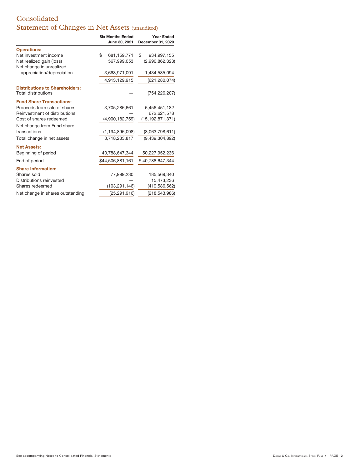## Consolidated Statement of Changes in Net Assets (unaudited)

|                                                              | <b>Six Months Ended</b><br>June 30, 2021 | <b>Year Ended</b><br>December 31, 2020 |
|--------------------------------------------------------------|------------------------------------------|----------------------------------------|
| <b>Operations:</b>                                           |                                          |                                        |
| Net investment income                                        | \$<br>681,159,771                        | \$<br>934.997.155                      |
| Net realized gain (loss)<br>Net change in unrealized         | 567,999,053                              | (2,990,862,323)                        |
| appreciation/depreciation                                    | 3,663,971,091                            | 1,434,585,094                          |
|                                                              | 4,913,129,915                            | (621, 280, 074)                        |
| <b>Distributions to Shareholders:</b><br>Total distributions |                                          | (754, 226, 207)                        |
| <b>Fund Share Transactions:</b>                              |                                          |                                        |
| Proceeds from sale of shares                                 | 3,705,286,661                            | 6,456,451,182                          |
| Reinvestment of distributions                                |                                          | 672,621,578                            |
| Cost of shares redeemed                                      | (4,900,182,759)                          | (15, 192, 871, 371)                    |
| Net change from Fund share                                   |                                          |                                        |
| transactions                                                 | (1, 194, 896, 098)                       | (8,063,798,611)                        |
| Total change in net assets                                   | 3,718,233,817                            | (9,439,304,892)                        |
| <b>Net Assets:</b>                                           |                                          |                                        |
| Beginning of period                                          | 40,788,647,344                           | 50,227,952,236                         |
| End of period                                                | \$44,506,881,161                         | \$40,788,647,344                       |
| <b>Share Information:</b>                                    |                                          |                                        |
| Shares sold                                                  | 77,999,230                               | 185,569,340                            |
| Distributions reinvested                                     |                                          | 15,473,236                             |
| Shares redeemed                                              | (103, 291, 146)                          | (419, 586, 562)                        |
| Net change in shares outstanding                             | (25, 291, 916)                           | (218, 543, 986)                        |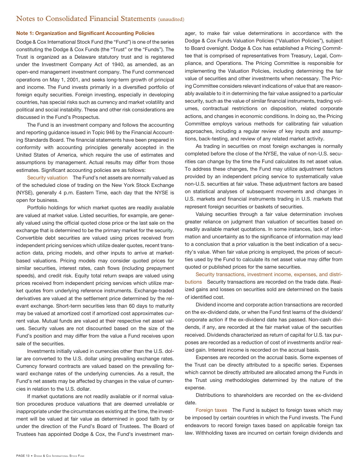#### **Note 1: Organization and Significant Accounting Policies**

Dodge & Cox International Stock Fund (the "Fund") is one of the series constituting the Dodge & Cox Funds (the "Trust" or the "Funds"). The Trust is organized as a Delaware statutory trust and is registered under the Investment Company Act of 1940, as amended, as an open-end management investment company. The Fund commenced operations on May 1, 2001, and seeks long-term growth of principal and income. The Fund invests primarily in a diversified portfolio of foreign equity securities. Foreign investing, especially in developing countries, has special risks such as currency and market volatility and political and social instability. These and other risk considerations are discussed in the Fund's Prospectus.

The Fund is an investment company and follows the accounting and reporting guidance issued in Topic 946 by the Financial Accounting Standards Board. The financial statements have been prepared in conformity with accounting principles generally accepted in the United States of America, which require the use of estimates and assumptions by management. Actual results may differ from those estimates. Significant accounting policies are as follows:

Security valuation The Fund's net assets are normally valued as of the scheduled close of trading on the New York Stock Exchange (NYSE), generally 4 p.m. Eastern Time, each day that the NYSE is open for business.

Portfolio holdings for which market quotes are readily available are valued at market value. Listed securities, for example, are generally valued using the official quoted close price or the last sale on the exchange that is determined to be the primary market for the security. Convertible debt securities are valued using prices received from independent pricing services which utilize dealer quotes, recent transaction data, pricing models, and other inputs to arrive at marketbased valuations. Pricing models may consider quoted prices for similar securities, interest rates, cash flows (including prepayment speeds), and credit risk. Equity total return swaps are valued using prices received from independent pricing services which utilize market quotes from underlying reference instruments. Exchange-traded derivatives are valued at the settlement price determined by the relevant exchange. Short-term securities less than 60 days to maturity may be valued at amortized cost if amortized cost approximates current value. Mutual funds are valued at their respective net asset values. Security values are not discounted based on the size of the Fund's position and may differ from the value a Fund receives upon sale of the securities.

Investments initially valued in currencies other than the U.S. dollar are converted to the U.S. dollar using prevailing exchange rates. Currency forward contracts are valued based on the prevailing forward exchange rates of the underlying currencies. As a result, the Fund's net assets may be affected by changes in the value of currencies in relation to the U.S. dollar.

If market quotations are not readily available or if normal valuation procedures produce valuations that are deemed unreliable or inappropriate under the circumstances existing at the time, the investment will be valued at fair value as determined in good faith by or under the direction of the Fund's Board of Trustees. The Board of Trustees has appointed Dodge & Cox, the Fund's investment manager, to make fair value determinations in accordance with the Dodge & Cox Funds Valuation Policies ("Valuation Policies"), subject to Board oversight. Dodge & Cox has established a Pricing Committee that is comprised of representatives from Treasury, Legal, Compliance, and Operations. The Pricing Committee is responsible for implementing the Valuation Policies, including determining the fair value of securities and other investments when necessary. The Pricing Committee considers relevant indications of value that are reasonably available to it in determining the fair value assigned to a particular security, such as the value of similar financial instruments, trading volumes, contractual restrictions on disposition, related corporate actions, and changes in economic conditions. In doing so, the Pricing Committee employs various methods for calibrating fair valuation approaches, including a regular review of key inputs and assumptions, back-testing, and review of any related market activity.

As trading in securities on most foreign exchanges is normally completed before the close of the NYSE, the value of non-U.S. securities can change by the time the Fund calculates its net asset value. To address these changes, the Fund may utilize adjustment factors provided by an independent pricing service to systematically value non-U.S. securities at fair value. These adjustment factors are based on statistical analyses of subsequent movements and changes in U.S. markets and financial instruments trading in U.S. markets that represent foreign securities or baskets of securities.

Valuing securities through a fair value determination involves greater reliance on judgment than valuation of securities based on readily available market quotations. In some instances, lack of information and uncertainty as to the significance of information may lead to a conclusion that a prior valuation is the best indication of a security's value. When fair value pricing is employed, the prices of securities used by the Fund to calculate its net asset value may differ from quoted or published prices for the same securities.

Security transactions, investment income, expenses, and distributions Security transactions are recorded on the trade date. Realized gains and losses on securities sold are determined on the basis of identified cost.

Dividend income and corporate action transactions are recorded on the ex-dividend date, or when the Fund first learns of the dividend/ corporate action if the ex-dividend date has passed. Non-cash dividends, if any, are recorded at the fair market value of the securities received. Dividends characterized as return of capital for U.S. tax purposes are recorded as a reduction of cost of investments and/or realized gain. Interest income is recorded on the accrual basis.

Expenses are recorded on the accrual basis. Some expenses of the Trust can be directly attributed to a specific series. Expenses which cannot be directly attributed are allocated among the Funds in the Trust using methodologies determined by the nature of the expense.

Distributions to shareholders are recorded on the ex-dividend date.

Foreign taxes The Fund is subject to foreign taxes which may be imposed by certain countries in which the Fund invests. The Fund endeavors to record foreign taxes based on applicable foreign tax law. Withholding taxes are incurred on certain foreign dividends and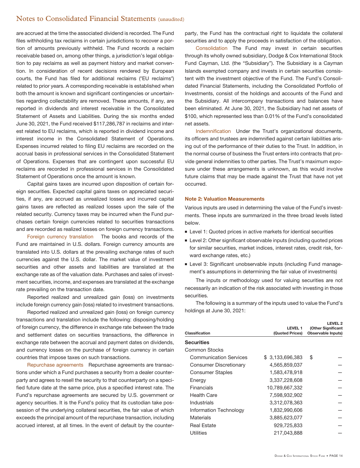are accrued at the time the associated dividend is recorded. The Fund files withholding tax reclaims in certain jurisdictions to recover a portion of amounts previously withheld. The Fund records a reclaim receivable based on, among other things, a jurisdiction's legal obligation to pay reclaims as well as payment history and market convention. In consideration of recent decisions rendered by European courts, the Fund has filed for additional reclaims ("EU reclaims") related to prior years. A corresponding receivable is established when both the amount is known and significant contingencies or uncertainties regarding collectability are removed. These amounts, if any, are reported in dividends and interest receivable in the Consolidated Statement of Assets and Liabilities. During the six months ended June 30, 2021, the Fund received \$117,286,787 in reclaims and interest related to EU reclaims, which is reported in dividend income and interest income in the Consolidated Statement of Operations. Expenses incurred related to filing EU reclaims are recorded on the accrual basis in professional services in the Consolidated Statement of Operations. Expenses that are contingent upon successful EU reclaims are recorded in professional services in the Consolidated Statement of Operations once the amount is known.

Capital gains taxes are incurred upon disposition of certain foreign securities. Expected capital gains taxes on appreciated securities, if any, are accrued as unrealized losses and incurred capital gains taxes are reflected as realized losses upon the sale of the related security. Currency taxes may be incurred when the Fund purchases certain foreign currencies related to securities transactions and are recorded as realized losses on foreign currency transactions.

Foreign currency translation The books and records of the Fund are maintained in U.S. dollars. Foreign currency amounts are translated into U.S. dollars at the prevailing exchange rates of such currencies against the U.S. dollar. The market value of investment securities and other assets and liabilities are translated at the exchange rate as of the valuation date. Purchases and sales of investment securities, income, and expenses are translated at the exchange rate prevailing on the transaction date.

Reported realized and unrealized gain (loss) on investments include foreign currency gain (loss) related to investment transactions.

Reported realized and unrealized gain (loss) on foreign currency transactions and translation include the following: disposing/holding of foreign currency, the difference in exchange rate between the trade and settlement dates on securities transactions, the difference in exchange rate between the accrual and payment dates on dividends, and currency losses on the purchase of foreign currency in certain countries that impose taxes on such transactions.

Repurchase agreements Repurchase agreements are transactions under which a Fund purchases a security from a dealer counterparty and agrees to resell the security to that counterparty on a specified future date at the same price, plus a specified interest rate. The Fund's repurchase agreements are secured by U.S. government or agency securities. It is the Fund's policy that its custodian take possession of the underlying collateral securities, the fair value of which exceeds the principal amount of the repurchase transaction, including accrued interest, at all times. In the event of default by the counterparty, the Fund has the contractual right to liquidate the collateral securities and to apply the proceeds in satisfaction of the obligation.

Consolidation The Fund may invest in certain securities through its wholly owned subsidiary, Dodge & Cox International Stock Fund Cayman, Ltd. (the "Subsidiary"). The Subsidiary is a Cayman Islands exempted company and invests in certain securities consistent with the investment objective of the Fund. The Fund's Consolidated Financial Statements, including the Consolidated Portfolio of Investments, consist of the holdings and accounts of the Fund and the Subsidiary. All intercompany transactions and balances have been eliminated. At June 30, 2021, the Subsidiary had net assets of \$100, which represented less than 0.01% of the Fund's consolidated net assets.

Indemnification Under the Trust's organizational documents, its officers and trustees are indemnified against certain liabilities arising out of the performance of their duties to the Trust. In addition, in the normal course of business the Trust enters into contracts that provide general indemnities to other parties. The Trust's maximum exposure under these arrangements is unknown, as this would involve future claims that may be made against the Trust that have not yet occurred.

#### **Note 2: Valuation Measurements**

Various inputs are used in determining the value of the Fund's investments. These inputs are summarized in the three broad levels listed below.

- Level 1: Quoted prices in active markets for identical securities
- Level 2: Other significant observable inputs (including quoted prices for similar securities, market indices, interest rates, credit risk, forward exchange rates, etc.)
- **Earth** 1: Significant unobservable inputs (including Fund management's assumptions in determining the fair value of investments)

The inputs or methodology used for valuing securities are not necessarily an indication of the risk associated with investing in those securities.

The following is a summary of the inputs used to value the Fund's holdings at June 30, 2021:

| <b>Classification</b>         | <b>LEVEL 1</b><br>(Quoted Prices) | LEVEL <sub>2</sub><br>(Other Significant<br>Observable Inputs) |
|-------------------------------|-----------------------------------|----------------------------------------------------------------|
| <b>Securities</b>             |                                   |                                                                |
| Common Stocks                 |                                   |                                                                |
| <b>Communication Services</b> | \$ 3,133,696,383                  | \$                                                             |
| Consumer Discretionary        | 4,565,859,037                     |                                                                |
| <b>Consumer Staples</b>       | 1,583,478,918                     |                                                                |
| Energy                        | 3,337,228,608                     |                                                                |
| Financials                    | 10,789,667,332                    |                                                                |
| <b>Health Care</b>            | 7.598.932.902                     |                                                                |
| Industrials                   | 3,312,078,363                     |                                                                |
| Information Technology        | 1,832,990,606                     |                                                                |
| <b>Materials</b>              | 3,885,623,077                     |                                                                |
| <b>Real Estate</b>            | 929,725,833                       |                                                                |
| Utilities                     | 217,043,888                       |                                                                |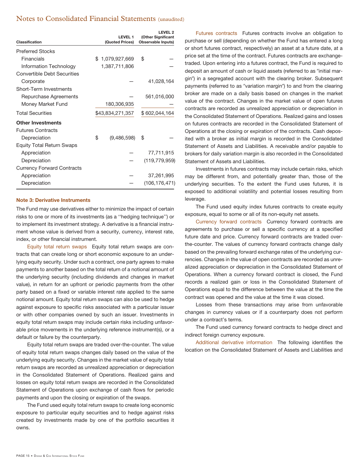| Classification                     | <b>LEVEL 1</b><br>(Quoted Prices) | LEVEL <sub>2</sub><br>(Other Significant<br>Observable Inputs) |
|------------------------------------|-----------------------------------|----------------------------------------------------------------|
| <b>Preferred Stocks</b>            |                                   |                                                                |
| Financials                         | \$1,079,927,669                   | \$                                                             |
| Information Technology             | 1,387,711,806                     |                                                                |
| <b>Convertible Debt Securities</b> |                                   |                                                                |
| Corporate                          |                                   | 41,028,164                                                     |
| Short-Term Investments             |                                   |                                                                |
| Repurchase Agreements              |                                   | 561,016,000                                                    |
| Money Market Fund                  | 180,306,935                       |                                                                |
| <b>Total Securities</b>            | \$43,834,271,357                  | \$602,044,164                                                  |
| <b>Other Investments</b>           |                                   |                                                                |
| <b>Futures Contracts</b>           |                                   |                                                                |
| Depreciation                       | \$<br>(9,486,598)                 | \$                                                             |
| <b>Equity Total Return Swaps</b>   |                                   |                                                                |
| Appreciation                       |                                   | 77,711,915                                                     |
| Depreciation                       |                                   | (119, 779, 959)                                                |
| <b>Currency Forward Contracts</b>  |                                   |                                                                |
| Appreciation                       |                                   | 37,261,995                                                     |
| Depreciation                       |                                   | (106, 176, 471)                                                |

#### **Note 3: Derivative Instruments**

The Fund may use derivatives either to minimize the impact of certain risks to one or more of its investments (as a ''hedging technique'') or to implement its investment strategy. A derivative is a financial instrument whose value is derived from a security, currency, interest rate, index, or other financial instrument.

Equity total return swaps Equity total return swaps are contracts that can create long or short economic exposure to an underlying equity security. Under such a contract, one party agrees to make payments to another based on the total return of a notional amount of the underlying security (including dividends and changes in market value), in return for an upfront or periodic payments from the other party based on a fixed or variable interest rate applied to the same notional amount. Equity total return swaps can also be used to hedge against exposure to specific risks associated with a particular issuer or with other companies owned by such an issuer. Investments in equity total return swaps may include certain risks including unfavorable price movements in the underlying reference instrument(s), or a default or failure by the counterparty.

Equity total return swaps are traded over-the-counter. The value of equity total return swaps changes daily based on the value of the underlying equity security. Changes in the market value of equity total return swaps are recorded as unrealized appreciation or depreciation in the Consolidated Statement of Operations. Realized gains and losses on equity total return swaps are recorded in the Consolidated Statement of Operations upon exchange of cash flows for periodic payments and upon the closing or expiration of the swaps.

The Fund used equity total return swaps to create long economic exposure to particular equity securities and to hedge against risks created by investments made by one of the portfolio securities it owns.

Futures contracts Futures contracts involve an obligation to purchase or sell (depending on whether the Fund has entered a long or short futures contract, respectively) an asset at a future date, at a price set at the time of the contract. Futures contracts are exchangetraded. Upon entering into a futures contract, the Fund is required to deposit an amount of cash or liquid assets (referred to as "initial margin") in a segregated account with the clearing broker. Subsequent payments (referred to as "variation margin") to and from the clearing broker are made on a daily basis based on changes in the market value of the contract. Changes in the market value of open futures contracts are recorded as unrealized appreciation or depreciation in the Consolidated Statement of Operations. Realized gains and losses on futures contracts are recorded in the Consolidated Statement of Operations at the closing or expiration of the contracts. Cash deposited with a broker as initial margin is recorded in the Consolidated Statement of Assets and Liabilities. A receivable and/or payable to brokers for daily variation margin is also recorded in the Consolidated Statement of Assets and Liabilities.

Investments in futures contracts may include certain risks, which may be different from, and potentially greater than, those of the underlying securities. To the extent the Fund uses futures, it is exposed to additional volatility and potential losses resulting from leverage.

The Fund used equity index futures contracts to create equity exposure, equal to some or all of its non-equity net assets.

Currency forward contracts Currency forward contracts are agreements to purchase or sell a specific currency at a specified future date and price. Currency forward contracts are traded overthe-counter. The values of currency forward contracts change daily based on the prevailing forward exchange rates of the underlying currencies. Changes in the value of open contracts are recorded as unrealized appreciation or depreciation in the Consolidated Statement of Operations. When a currency forward contract is closed, the Fund records a realized gain or loss in the Consolidated Statement of Operations equal to the difference between the value at the time the contract was opened and the value at the time it was closed.

Losses from these transactions may arise from unfavorable changes in currency values or if a counterparty does not perform under a contract's terms.

The Fund used currency forward contracts to hedge direct and indirect foreign currency exposure.

Additional derivative information The following identifies the location on the Consolidated Statement of Assets and Liabilities and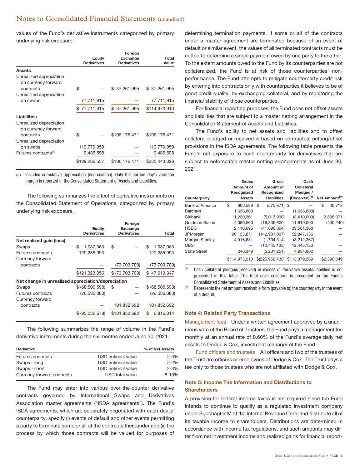values of the Fund's derivative instruments categorized by primary underlying risk exposure.

|                                                |    | Equity<br><b>Derivatives</b> | Foreign<br><b>Exchange</b><br><b>Derivatives</b> | Total<br>Value |
|------------------------------------------------|----|------------------------------|--------------------------------------------------|----------------|
| <b>Assets</b>                                  |    |                              |                                                  |                |
| Unrealized appreciation<br>on currency forward |    |                              |                                                  |                |
| contracts                                      | \$ |                              | \$37,261,995                                     | \$37,261,995   |
| Unrealized appreciation                        |    |                              |                                                  |                |
| on swaps                                       |    | 77,711,915                   |                                                  | 77,711,915     |
|                                                | S. | 77,711,915                   | \$37,261,995                                     | \$114,973,910  |
| Liabilities                                    |    |                              |                                                  |                |
| Unrealized depreciation<br>on currency forward |    |                              |                                                  |                |
| contracts                                      | \$ |                              | \$106,176,471                                    | \$106,176,471  |
| Unrealized depreciation                        |    |                              |                                                  |                |
| on swaps                                       |    | 119,779,959                  |                                                  | 119,779,959    |
| Futures contracts <sup>(a)</sup>               |    | 9,486,598                    |                                                  | 9,486,598      |
|                                                |    | \$129,266,557                | \$106,176,471                                    | \$235,443,028  |

(a) Includes cumulative appreciation (depreciation). Only the current day's variation margin is reported in the Consolidated Statement of Assets and Liabilities.

The following summarizes the effect of derivative instruments on the Consolidated Statement of Operations, categorized by primary underlying risk exposure.

|                                                    | Equity             | Foreign<br>Exchange |                  |
|----------------------------------------------------|--------------------|---------------------|------------------|
|                                                    | <b>Derivatives</b> | <b>Derivatives</b>  | Total            |
| Net realized gain (loss)                           |                    |                     |                  |
| Swaps                                              | \$<br>1,037,063    | \$                  | \$<br>1,037,063  |
| <b>Futures contracts</b>                           | 120,285,993        |                     | 120,285,993      |
| Currency forward                                   |                    |                     |                  |
| contracts                                          |                    | (73, 703, 709)      | (73, 703, 709)   |
|                                                    | \$121.323.056      | \$ (73, 703, 709)   | 47.619.347<br>\$ |
| Net change in unrealized appreciation/depreciation |                    |                     |                  |
| Swaps                                              | \$ (68,500,598)    | \$                  | \$ (68,500,598)  |
| <b>Futures contracts</b>                           | (26, 536, 080)     |                     | (26, 536, 080)   |
| Currency forward                                   |                    |                     |                  |
| contracts                                          |                    | 101,852,692         | 101,852,692      |
|                                                    | \$ (95,036,678)    | \$101,852,692       | 6,816,014<br>\$  |

The following summarizes the range of volume in the Fund's derivative instruments during the six months ended June 30, 2021.

| <b>Derivative</b>          |                    | % of Net Assets |
|----------------------------|--------------------|-----------------|
| <b>Futures contracts</b>   | USD notional value | $2 - 3%$        |
| Swaps - long               | USD notional value | $2 - 2%$        |
| Swaps - short              | USD notional value | $2 - 3%$        |
| Currency forward contracts | USD total value    | $8 - 10%$       |

The Fund may enter into various over-the-counter derivative contracts governed by International Swaps and Derivatives Association master agreements ("ISDA agreements"). The Fund's ISDA agreements, which are separately negotiated with each dealer counterparty, specify (i) events of default and other events permitting a party to terminate some or all of the contracts thereunder and (ii) the process by which those contracts will be valued for purposes of determining termination payments. If some or all of the contracts under a master agreement are terminated because of an event of default or similar event, the values of all terminated contracts must be netted to determine a single payment owed by one party to the other. To the extent amounts owed to the Fund by its counterparties are not collateralized, the Fund is at risk of those counterparties' nonperformance. The Fund attempts to mitigate counterparty credit risk by entering into contracts only with counterparties it believes to be of good credit quality, by exchanging collateral, and by monitoring the financial stability of those counterparties.

For financial reporting purposes, the Fund does not offset assets and liabilities that are subject to a master netting arrangement in the Consolidated Statement of Assets and Liabilities.

The Fund's ability to net assets and liabilities and to offset collateral pledged or received is based on contractual netting/offset provisions in the ISDA agreements. The following table presents the Fund's net exposure to each counterparty for derivatives that are subject to enforceable master netting arrangements as of June 30, 2021.

| Counterparty           | <b>Gross</b><br>Amount of<br>Recognized<br><b>Assets</b> |     | <b>Gross</b><br>Amount of<br>Recognized<br>Liabilities | Cash<br>Collateral<br>Pledged /<br>(Received) <sup>(a)</sup> |    | Net Amount <sup>(b)</sup> |
|------------------------|----------------------------------------------------------|-----|--------------------------------------------------------|--------------------------------------------------------------|----|---------------------------|
| <b>Bank of America</b> | \$<br>606,589                                            | -\$ | $(575, 871)$ \$                                        |                                                              | \$ | 30,718                    |
| <b>Barclays</b>        | 1.636.803                                                |     |                                                        | (1,636,803)                                                  |    |                           |
| Citibank               | 11,230,361                                               |     | (5,013,990)                                            | (3,410,000)                                                  |    | 2,806,371                 |
| Goldman Sachs          | 4,086,560                                                |     | (16, 336, 800)                                         | 11,810,000                                                   |    | (440, 240)                |
| <b>HSBC</b>            | 2,116,696                                                |     | (41,698,064)                                           | 39.581.368                                                   |    |                           |
| JPMorgan               | 90,133,871                                               |     | (142, 981, 007)                                        | 52.847.136                                                   |    |                           |
| Morgan Stanley         | 4,916,681                                                |     | (1,704,314)                                            | (3,212,367)                                                  |    |                           |
| <b>UBS</b>             |                                                          |     | (12, 445, 133)                                         | 12,445,133                                                   |    |                           |
| <b>State Street</b>    | 246,349                                                  |     | (5,201,251)                                            | 4,954,902                                                    |    |                           |
|                        | \$114.973.910                                            |     | \$(225,956,430) \$113,379,369                          |                                                              |    | \$2,396,849               |

Cash collateral pledged/(received) in excess of derivative assets/liabilities is not presented in this table. The total cash collateral is presented on the Fund's Consolidated Statement of Assets and Liabilities.

Represents the net amount receivable from (payable to) the counterparty in the event of a default.

#### **Note 4: Related Party Transactions**

Management fees Under a written agreement approved by a unanimous vote of the Board of Trustees, the Fund pays a management fee monthly at an annual rate of 0.60% of the Fund's average daily net assets to Dodge & Cox, investment manager of the Fund.

Fund officers and trustees All officers and two of the trustees of the Trust are officers or employees of Dodge & Cox. The Trust pays a fee only to those trustees who are not affiliated with Dodge & Cox.

#### **Note 5: Income Tax Information and Distributions to Shareholders**

A provision for federal income taxes is not required since the Fund intends to continue to qualify as a regulated investment company under Subchapter M of the Internal Revenue Code and distribute all of its taxable income to shareholders. Distributions are determined in accordance with income tax regulations, and such amounts may differ from net investment income and realized gains for financial report-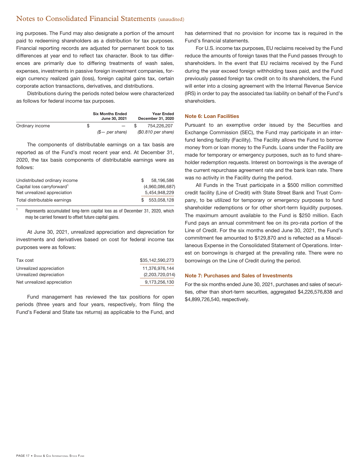ing purposes. The Fund may also designate a portion of the amount paid to redeeming shareholders as a distribution for tax purposes. Financial reporting records are adjusted for permanent book to tax differences at year end to reflect tax character. Book to tax differences are primarily due to differing treatments of wash sales, expenses, investments in passive foreign investment companies, foreign currency realized gain (loss), foreign capital gains tax, certain corporate action transactions, derivatives, and distributions.

Distributions during the periods noted below were characterized as follows for federal income tax purposes.

|                 |   | <b>Six Months Ended</b><br>June 30, 2021 | <b>Year Ended</b><br>December 31, 2020 |                     |  |
|-----------------|---|------------------------------------------|----------------------------------------|---------------------|--|
| Ordinary income | S |                                          |                                        | 754.226.207         |  |
|                 |   | $(S - per share)$                        |                                        | $$0.810$ per share) |  |

The components of distributable earnings on a tax basis are reported as of the Fund's most recent year end. At December 31, 2020, the tax basis components of distributable earnings were as follows:

| Undistributed ordinary income          | 58.196.586      |
|----------------------------------------|-----------------|
| Capital loss carryforward <sup>1</sup> | (4,960,086,687) |
| Net unrealized appreciation            | 5.454.948.229   |
| Total distributable earnings           | \$553.058.128   |

Represents accumulated long-term capital loss as of December 31, 2020, which may be carried forward to offset future capital gains.

At June 30, 2021, unrealized appreciation and depreciation for investments and derivatives based on cost for federal income tax purposes were as follows:

| Tax cost                    | \$35.142.590.273 |
|-----------------------------|------------------|
| Unrealized appreciation     | 11.376.976.144   |
| Unrealized depreciation     | (2,203,720,014)  |
| Net unrealized appreciation | 9,173,256,130    |

Fund management has reviewed the tax positions for open periods (three years and four years, respectively, from filing the Fund's Federal and State tax returns) as applicable to the Fund, and

has determined that no provision for income tax is required in the Fund's financial statements.

For U.S. income tax purposes, EU reclaims received by the Fund reduce the amounts of foreign taxes that the Fund passes through to shareholders. In the event that EU reclaims received by the Fund during the year exceed foreign withholding taxes paid, and the Fund previously passed foreign tax credit on to its shareholders, the Fund will enter into a closing agreement with the Internal Revenue Service (IRS) in order to pay the associated tax liability on behalf of the Fund's shareholders.

#### **Note 6: Loan Facilities**

Pursuant to an exemptive order issued by the Securities and Exchange Commission (SEC), the Fund may participate in an interfund lending facility (Facility). The Facility allows the Fund to borrow money from or loan money to the Funds. Loans under the Facility are made for temporary or emergency purposes, such as to fund shareholder redemption requests. Interest on borrowings is the average of the current repurchase agreement rate and the bank loan rate. There was no activity in the Facility during the period.

All Funds in the Trust participate in a \$500 million committed credit facility (Line of Credit) with State Street Bank and Trust Company, to be utilized for temporary or emergency purposes to fund shareholder redemptions or for other short-term liquidity purposes. The maximum amount available to the Fund is \$250 million. Each Fund pays an annual commitment fee on its pro-rata portion of the Line of Credit. For the six months ended June 30, 2021, the Fund's commitment fee amounted to \$129,870 and is reflected as a Miscellaneous Expense in the Consolidated Statement of Operations. Interest on borrowings is charged at the prevailing rate. There were no borrowings on the Line of Credit during the period.

#### **Note 7: Purchases and Sales of Investments**

For the six months ended June 30, 2021, purchases and sales of securities, other than short-term securities, aggregated \$4,226,576,838 and \$4,899,726,540, respectively.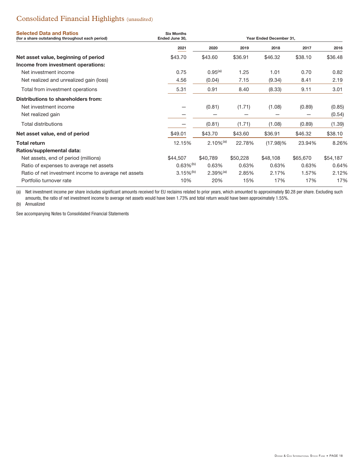## Consolidated Financial Highlights (unaudited)

| <b>Selected Data and Ratios</b><br>(for a share outstanding throughout each period) | <b>Six Months</b><br>Ended June 30. | Year Ended December 31. |          |             |          |          |  |  |
|-------------------------------------------------------------------------------------|-------------------------------------|-------------------------|----------|-------------|----------|----------|--|--|
|                                                                                     | 2021                                | 2020                    | 2019     | 2018        | 2017     | 2016     |  |  |
| Net asset value, beginning of period                                                | \$43.70                             | \$43.60                 | \$36.91  | \$46.32     | \$38.10  | \$36.48  |  |  |
| Income from investment operations:                                                  |                                     |                         |          |             |          |          |  |  |
| Net investment income                                                               | 0.75                                | 0.95 <sup>(a)</sup>     | 1.25     | 1.01        | 0.70     | 0.82     |  |  |
| Net realized and unrealized gain (loss)                                             | 4.56                                | (0.04)                  | 7.15     | (9.34)      | 8.41     | 2.19     |  |  |
| Total from investment operations                                                    | 5.31                                | 0.91                    | 8.40     | (8.33)      | 9.11     | 3.01     |  |  |
| Distributions to shareholders from:                                                 |                                     |                         |          |             |          |          |  |  |
| Net investment income                                                               |                                     | (0.81)                  | (1.71)   | (1.08)      | (0.89)   | (0.85)   |  |  |
| Net realized gain                                                                   |                                     |                         |          |             |          | (0.54)   |  |  |
| <b>Total distributions</b>                                                          |                                     | (0.81)                  | (1.71)   | (1.08)      | (0.89)   | (1.39)   |  |  |
| Net asset value, end of period                                                      | \$49.01                             | \$43.70                 | \$43.60  | \$36.91     | \$46.32  | \$38.10  |  |  |
| Total return                                                                        | 12.15%                              | $2.10\%^{(a)}$          | 22.78%   | $(17.98)\%$ | 23.94%   | 8.26%    |  |  |
| Ratios/supplemental data:                                                           |                                     |                         |          |             |          |          |  |  |
| Net assets, end of period (millions)                                                | \$44,507                            | \$40,789                | \$50,228 | \$48,108    | \$65,670 | \$54,187 |  |  |
| Ratio of expenses to average net assets                                             | $0.63\%$ <sup>(b)</sup>             | 0.63%                   | 0.63%    | 0.63%       | 0.63%    | 0.64%    |  |  |
| Ratio of net investment income to average net assets                                | $3.15\%$ <sup>(b)</sup>             | $2.39\%$ <sup>(a)</sup> | 2.85%    | 2.17%       | 1.57%    | 2.12%    |  |  |
| Portfolio turnover rate                                                             | 10%                                 | 20%                     | 15%      | 17%         | 17%      | 17%      |  |  |

(a) Net investment income per share includes significant amounts received for EU reclaims related to prior years, which amounted to approximately \$0.28 per share. Excluding such amounts, the ratio of net investment income to average net assets would have been 1.73% and total return would have been approximately 1.55%. (b) Annualized

See accompanying Notes to Consolidated Financial Statements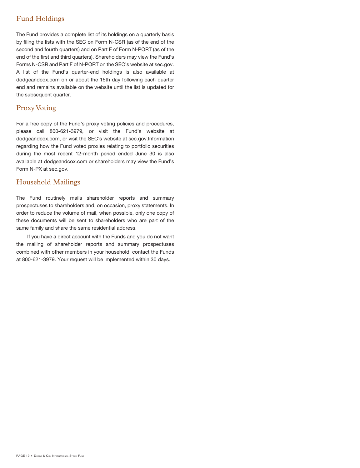## Fund Holdings

The Fund provides a complete list of its holdings on a quarterly basis by filing the lists with the SEC on Form N-CSR (as of the end of the second and fourth quarters) and on Part F of Form N-PORT (as of the end of the first and third quarters). Shareholders may view the Fund's Forms N-CSR and Part F of N-PORT on the SEC's website at sec.gov. A list of the Fund's quarter-end holdings is also available at dodgeandcox.com on or about the 15th day following each quarter end and remains available on the website until the list is updated for the subsequent quarter.

## Proxy Voting

For a free copy of the Fund's proxy voting policies and procedures, please call 800-621-3979, or visit the Fund's website at dodgeandcox.com, or visit the SEC's website at sec.gov.Information regarding how the Fund voted proxies relating to portfolio securities during the most recent 12-month period ended June 30 is also available at dodgeandcox.com or shareholders may view the Fund's Form N-PX at sec.gov.

## Household Mailings

The Fund routinely mails shareholder reports and summary prospectuses to shareholders and, on occasion, proxy statements. In order to reduce the volume of mail, when possible, only one copy of these documents will be sent to shareholders who are part of the same family and share the same residential address.

If you have a direct account with the Funds and you do not want the mailing of shareholder reports and summary prospectuses combined with other members in your household, contact the Funds at 800-621-3979. Your request will be implemented within 30 days.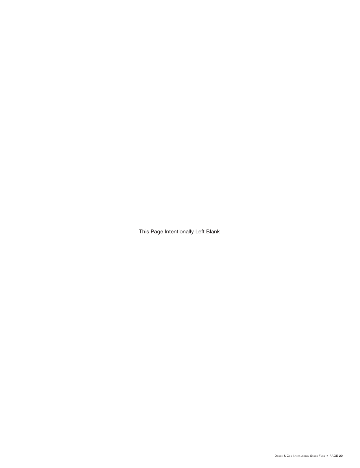This Page Intentionally Left Blank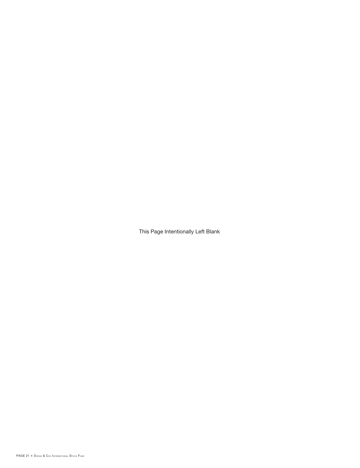This Page Intentionally Left Blank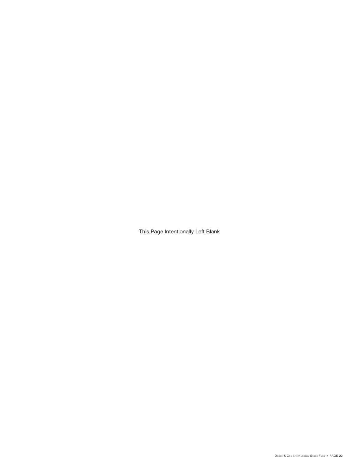This Page Intentionally Left Blank